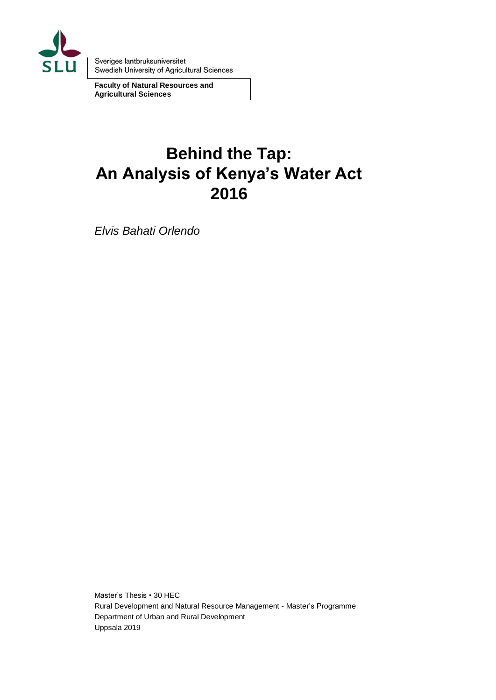

Sveriges lantbruksuniversitet Swedish University of Agricultural Sciences

**Faculty of Natural Resources and Agricultural Sciences**

# **Behind the Tap: An Analysis of Kenya's Water Act 2016**

*Elvis Bahati Orlendo* 

Master's Thesis • 30 HEC Rural Development and Natural Resource Management - Master's Programme Department of Urban and Rural Development Uppsala 2019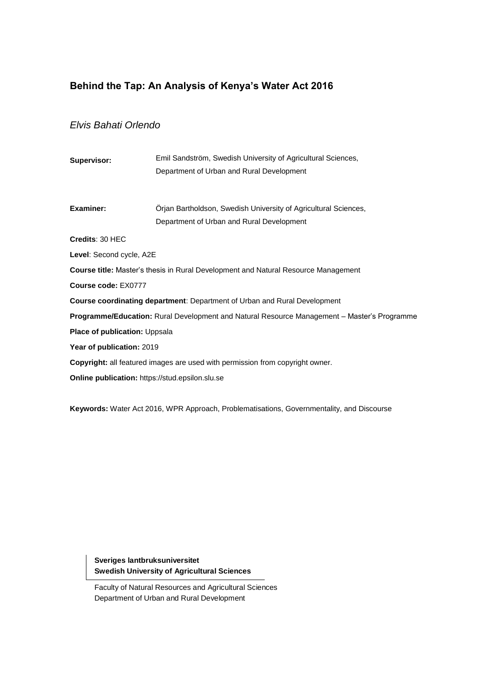### **Behind the Tap: An Analysis of Kenya's Water Act 2016**

### *Elvis Bahati Orlendo*

| Supervisor:                                                                                 | Emil Sandström, Swedish University of Agricultural Sciences,                         |  |  |  |
|---------------------------------------------------------------------------------------------|--------------------------------------------------------------------------------------|--|--|--|
|                                                                                             | Department of Urban and Rural Development                                            |  |  |  |
|                                                                                             |                                                                                      |  |  |  |
| <b>Examiner:</b>                                                                            | Orjan Bartholdson, Swedish University of Agricultural Sciences,                      |  |  |  |
|                                                                                             | Department of Urban and Rural Development                                            |  |  |  |
| Credits: 30 HEC                                                                             |                                                                                      |  |  |  |
| Level: Second cycle, A2E                                                                    |                                                                                      |  |  |  |
| Course title: Master's thesis in Rural Development and Natural Resource Management          |                                                                                      |  |  |  |
| Course code: EX0777                                                                         |                                                                                      |  |  |  |
| <b>Course coordinating department:</b> Department of Urban and Rural Development            |                                                                                      |  |  |  |
| Programme/Education: Rural Development and Natural Resource Management - Master's Programme |                                                                                      |  |  |  |
| Place of publication: Uppsala                                                               |                                                                                      |  |  |  |
| Year of publication: 2019                                                                   |                                                                                      |  |  |  |
|                                                                                             | <b>Copyright:</b> all featured images are used with permission from copyright owner. |  |  |  |
| <b>Online publication:</b> https://stud.epsilon.slu.se                                      |                                                                                      |  |  |  |
|                                                                                             |                                                                                      |  |  |  |

**Keywords:** Water Act 2016, WPR Approach, Problematisations, Governmentality, and Discourse

**Sveriges lantbruksuniversitet Swedish University of Agricultural Sciences**

Faculty of Natural Resources and Agricultural Sciences Department of Urban and Rural Development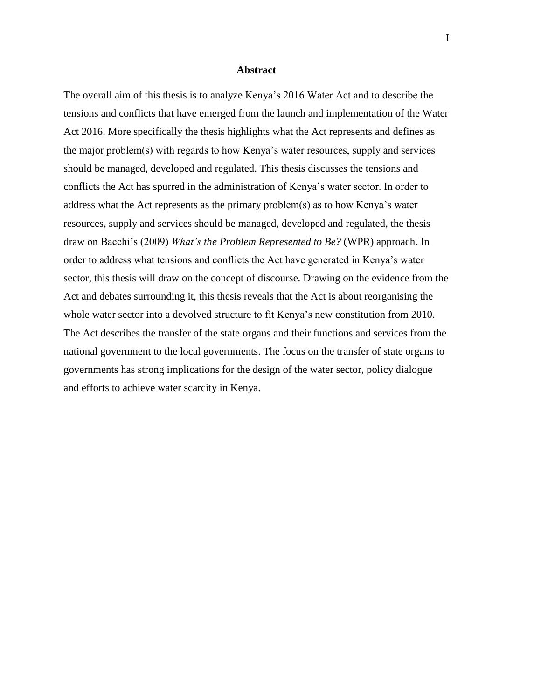#### **Abstract**

The overall aim of this thesis is to analyze Kenya's 2016 Water Act and to describe the tensions and conflicts that have emerged from the launch and implementation of the Water Act 2016. More specifically the thesis highlights what the Act represents and defines as the major problem(s) with regards to how Kenya's water resources, supply and services should be managed, developed and regulated. This thesis discusses the tensions and conflicts the Act has spurred in the administration of Kenya's water sector. In order to address what the Act represents as the primary problem(s) as to how Kenya's water resources, supply and services should be managed, developed and regulated, the thesis draw on Bacchi's (2009) *What's the Problem Represented to Be?* (WPR) approach. In order to address what tensions and conflicts the Act have generated in Kenya's water sector, this thesis will draw on the concept of discourse. Drawing on the evidence from the Act and debates surrounding it, this thesis reveals that the Act is about reorganising the whole water sector into a devolved structure to fit Kenya's new constitution from 2010. The Act describes the transfer of the state organs and their functions and services from the national government to the local governments. The focus on the transfer of state organs to governments has strong implications for the design of the water sector, policy dialogue and efforts to achieve water scarcity in Kenya.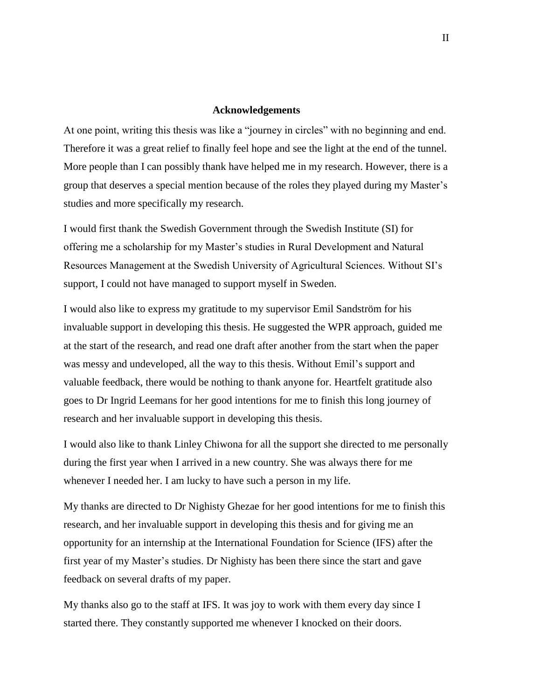#### **Acknowledgements**

At one point, writing this thesis was like a "journey in circles" with no beginning and end. Therefore it was a great relief to finally feel hope and see the light at the end of the tunnel. More people than I can possibly thank have helped me in my research. However, there is a group that deserves a special mention because of the roles they played during my Master's studies and more specifically my research.

I would first thank the Swedish Government through the Swedish Institute (SI) for offering me a scholarship for my Master's studies in Rural Development and Natural Resources Management at the Swedish University of Agricultural Sciences. Without SI's support, I could not have managed to support myself in Sweden.

I would also like to express my gratitude to my supervisor Emil Sandström for his invaluable support in developing this thesis. He suggested the WPR approach, guided me at the start of the research, and read one draft after another from the start when the paper was messy and undeveloped, all the way to this thesis. Without Emil's support and valuable feedback, there would be nothing to thank anyone for. Heartfelt gratitude also goes to Dr Ingrid Leemans for her good intentions for me to finish this long journey of research and her invaluable support in developing this thesis.

I would also like to thank Linley Chiwona for all the support she directed to me personally during the first year when I arrived in a new country. She was always there for me whenever I needed her. I am lucky to have such a person in my life.

My thanks are directed to Dr Nighisty Ghezae for her good intentions for me to finish this research, and her invaluable support in developing this thesis and for giving me an opportunity for an internship at the International Foundation for Science (IFS) after the first year of my Master's studies. Dr Nighisty has been there since the start and gave feedback on several drafts of my paper.

My thanks also go to the staff at IFS. It was joy to work with them every day since I started there. They constantly supported me whenever I knocked on their doors.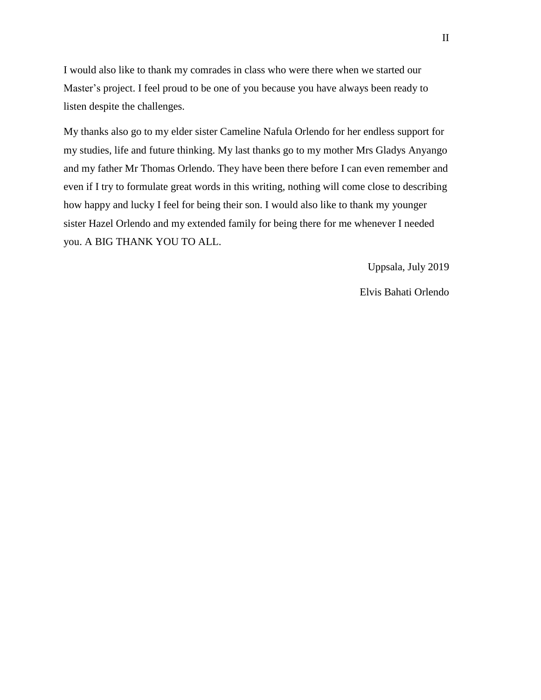I would also like to thank my comrades in class who were there when we started our Master's project. I feel proud to be one of you because you have always been ready to listen despite the challenges.

My thanks also go to my elder sister Cameline Nafula Orlendo for her endless support for my studies, life and future thinking. My last thanks go to my mother Mrs Gladys Anyango and my father Mr Thomas Orlendo. They have been there before I can even remember and even if I try to formulate great words in this writing, nothing will come close to describing how happy and lucky I feel for being their son. I would also like to thank my younger sister Hazel Orlendo and my extended family for being there for me whenever I needed you. A BIG THANK YOU TO ALL.

Uppsala, July 2019

Elvis Bahati Orlendo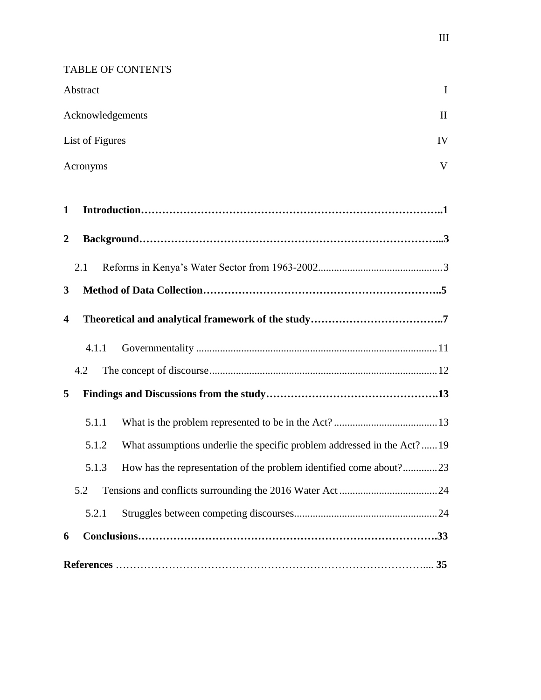TABLE OF CONTENTS

|                         | Abstract                                                                        | $\mathbf I$  |  |
|-------------------------|---------------------------------------------------------------------------------|--------------|--|
|                         | Acknowledgements                                                                | $\mathbf{I}$ |  |
|                         | List of Figures<br>IV                                                           |              |  |
|                         | V<br>Acronyms                                                                   |              |  |
|                         |                                                                                 |              |  |
| 1                       |                                                                                 |              |  |
| $\boldsymbol{2}$        |                                                                                 |              |  |
|                         | 2.1                                                                             |              |  |
| 3                       |                                                                                 |              |  |
| $\overline{\mathbf{4}}$ |                                                                                 |              |  |
|                         | 4.1.1                                                                           |              |  |
|                         | 4.2                                                                             |              |  |
| 5                       |                                                                                 |              |  |
|                         | 5.1.1                                                                           |              |  |
|                         | What assumptions underlie the specific problem addressed in the Act?19<br>5.1.2 |              |  |
|                         | How has the representation of the problem identified come about?23<br>5.1.3     |              |  |
|                         | 5.2                                                                             |              |  |
|                         | 5.2.1                                                                           |              |  |
| 6                       |                                                                                 |              |  |
|                         |                                                                                 | 35           |  |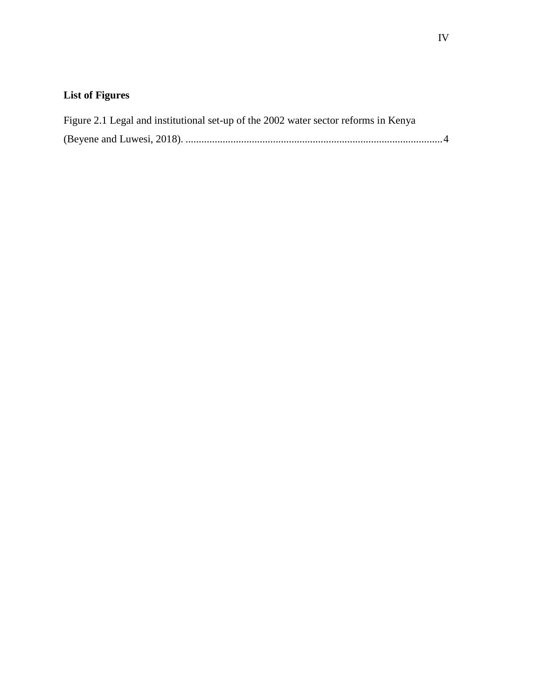# **List of Figures**

| Figure 2.1 Legal and institutional set-up of the 2002 water sector reforms in Kenya |  |
|-------------------------------------------------------------------------------------|--|
|                                                                                     |  |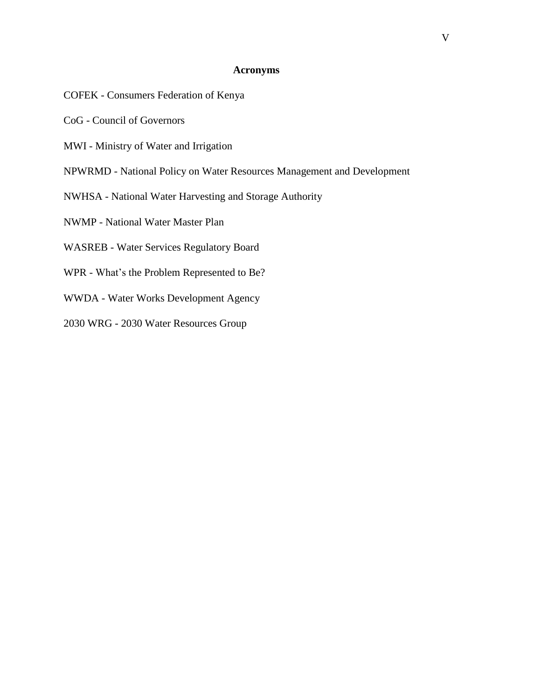#### **Acronyms**

- COFEK Consumers Federation of Kenya
- CoG Council of Governors
- MWI Ministry of Water and Irrigation
- NPWRMD National Policy on Water Resources Management and Development
- NWHSA National Water Harvesting and Storage Authority
- NWMP National Water Master Plan
- WASREB Water Services Regulatory Board
- WPR What's the Problem Represented to Be?
- WWDA Water Works Development Agency
- 2030 WRG 2030 Water Resources Group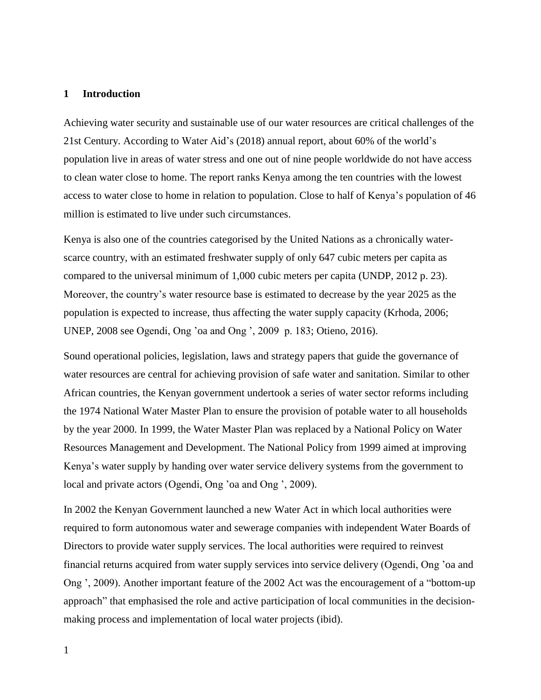#### **1 Introduction**

Achieving water security and sustainable use of our water resources are critical challenges of the 21st Century. According to Water Aid's (2018) annual report, about 60% of the world's population live in areas of water stress and one out of nine people worldwide do not have access to clean water close to home. The report ranks Kenya among the ten countries with the lowest access to water close to home in relation to population. Close to half of Kenya's population of 46 million is estimated to live under such circumstances.

Kenya is also one of the countries categorised by the United Nations as a chronically waterscarce country, with an estimated freshwater supply of only 647 cubic meters per capita as compared to the universal minimum of 1,000 cubic meters per capita (UNDP, 2012 p. 23). Moreover, the country's water resource base is estimated to decrease by the year 2025 as the population is expected to increase, thus affecting the water supply capacity (Krhoda, 2006; UNEP, 2008 see Ogendi, Ong 'oa and Ong ', 2009 p. 183; Otieno, 2016).

Sound operational policies, legislation, laws and strategy papers that guide the governance of water resources are central for achieving provision of safe water and sanitation. Similar to other African countries, the Kenyan government undertook a series of water sector reforms including the 1974 National Water Master Plan to ensure the provision of potable water to all households by the year 2000. In 1999, the Water Master Plan was replaced by a National Policy on Water Resources Management and Development. The National Policy from 1999 aimed at improving Kenya's water supply by handing over water service delivery systems from the government to local and private actors (Ogendi, Ong 'oa and Ong ', 2009).

In 2002 the Kenyan Government launched a new Water Act in which local authorities were required to form autonomous water and sewerage companies with independent Water Boards of Directors to provide water supply services. The local authorities were required to reinvest financial returns acquired from water supply services into service delivery (Ogendi, Ong 'oa and Ong ', 2009). Another important feature of the 2002 Act was the encouragement of a "bottom-up approach" that emphasised the role and active participation of local communities in the decisionmaking process and implementation of local water projects (ibid).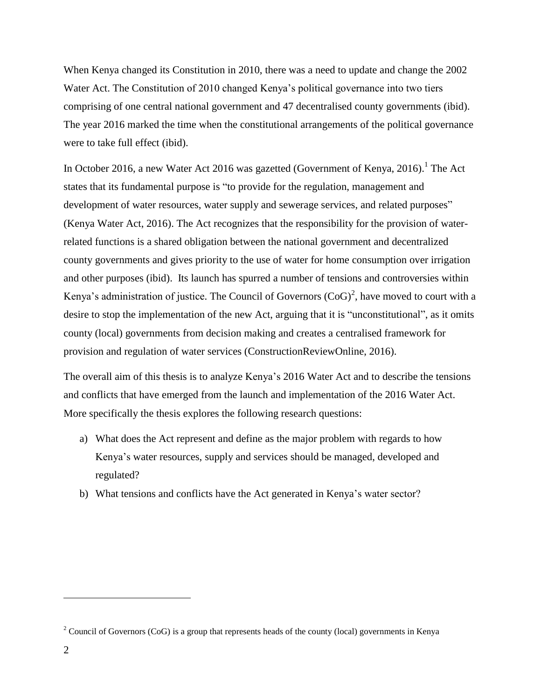When Kenya changed its Constitution in 2010, there was a need to update and change the 2002 Water Act. The Constitution of 2010 changed Kenya's political governance into two tiers comprising of one central national government and 47 decentralised county governments (ibid). The year 2016 marked the time when the constitutional arrangements of the political governance were to take full effect (ibid).

In October 2016, a new Water Act 2016 was gazetted (Government of Kenya, 2016).<sup>1</sup> The Act states that its fundamental purpose is "to provide for the regulation, management and development of water resources, water supply and sewerage services, and related purposes" (Kenya Water Act, 2016). The Act recognizes that the responsibility for the provision of waterrelated functions is a shared obligation between the national government and decentralized county governments and gives priority to the use of water for home consumption over irrigation and other purposes (ibid). Its launch has spurred a number of tensions and controversies within Kenya's administration of justice. The Council of Governors  $(CoG)^2$ , have moved to court with a desire to stop the implementation of the new Act, arguing that it is "unconstitutional", as it omits county (local) governments from decision making and creates a centralised framework for provision and regulation of water services (ConstructionReviewOnline, 2016).

The overall aim of this thesis is to analyze Kenya's 2016 Water Act and to describe the tensions and conflicts that have emerged from the launch and implementation of the 2016 Water Act. More specifically the thesis explores the following research questions:

- a) What does the Act represent and define as the major problem with regards to how Kenya's water resources, supply and services should be managed, developed and regulated?
- b) What tensions and conflicts have the Act generated in Kenya's water sector?

<sup>&</sup>lt;sup>2</sup> Council of Governors (CoG) is a group that represents heads of the county (local) governments in Kenya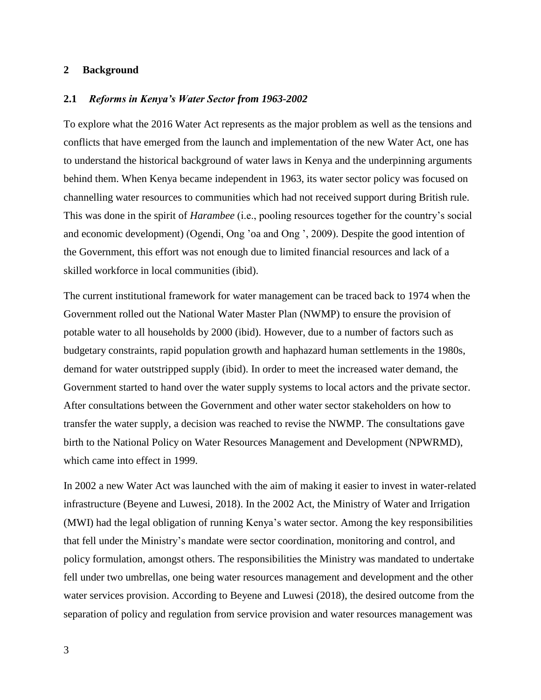#### **2 Background**

#### **2.1** *Reforms in Kenya's Water Sector from 1963-2002*

To explore what the 2016 Water Act represents as the major problem as well as the tensions and conflicts that have emerged from the launch and implementation of the new Water Act, one has to understand the historical background of water laws in Kenya and the underpinning arguments behind them. When Kenya became independent in 1963, its water sector policy was focused on channelling water resources to communities which had not received support during British rule. This was done in the spirit of *Harambee* (i.e., pooling resources together for the country's social and economic development) (Ogendi, Ong 'oa and Ong ', 2009). Despite the good intention of the Government, this effort was not enough due to limited financial resources and lack of a skilled workforce in local communities (ibid).

The current institutional framework for water management can be traced back to 1974 when the Government rolled out the National Water Master Plan (NWMP) to ensure the provision of potable water to all households by 2000 (ibid). However, due to a number of factors such as budgetary constraints, rapid population growth and haphazard human settlements in the 1980s, demand for water outstripped supply (ibid). In order to meet the increased water demand, the Government started to hand over the water supply systems to local actors and the private sector. After consultations between the Government and other water sector stakeholders on how to transfer the water supply, a decision was reached to revise the NWMP. The consultations gave birth to the National Policy on Water Resources Management and Development (NPWRMD), which came into effect in 1999.

In 2002 a new Water Act was launched with the aim of making it easier to invest in water-related infrastructure (Beyene and Luwesi, 2018). In the 2002 Act, the Ministry of Water and Irrigation (MWI) had the legal obligation of running Kenya's water sector. Among the key responsibilities that fell under the Ministry's mandate were sector coordination, monitoring and control, and policy formulation, amongst others. The responsibilities the Ministry was mandated to undertake fell under two umbrellas, one being water resources management and development and the other water services provision. According to Beyene and Luwesi (2018), the desired outcome from the separation of policy and regulation from service provision and water resources management was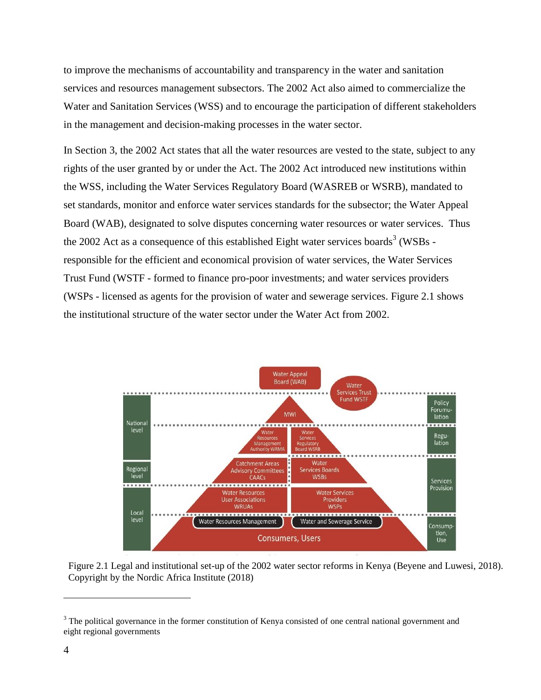to improve the mechanisms of accountability and transparency in the water and sanitation services and resources management subsectors. The 2002 Act also aimed to commercialize the Water and Sanitation Services (WSS) and to encourage the participation of different stakeholders in the management and decision-making processes in the water sector.

In Section 3, the 2002 Act states that all the water resources are vested to the state, subject to any rights of the user granted by or under the Act. The 2002 Act introduced new institutions within the WSS, including the Water Services Regulatory Board (WASREB or WSRB), mandated to set standards, monitor and enforce water services standards for the subsector; the Water Appeal Board (WAB), designated to solve disputes concerning water resources or water services. Thus the 2002 Act as a consequence of this established Eight water services boards<sup>3</sup> (WSBs responsible for the efficient and economical provision of water services, the Water Services Trust Fund (WSTF - formed to finance pro-poor investments; and water services providers (WSPs - licensed as agents for the provision of water and sewerage services. Figure 2.1 shows the institutional structure of the water sector under the Water Act from 2002.



Figure 2.1 Legal and institutional set-up of the 2002 water sector reforms in Kenya (Beyene and Luwesi, 2018). Copyright by the Nordic Africa Institute (2018)

 $3$  The political governance in the former constitution of Kenya consisted of one central national government and eight regional governments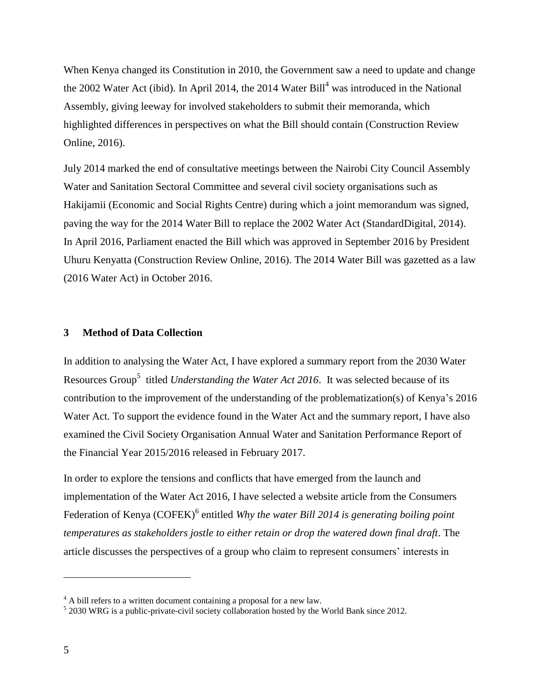When Kenya changed its Constitution in 2010, the Government saw a need to update and change the 2002 Water Act (ibid). In April 2014, the 2014 Water Bill<sup>4</sup> was introduced in the National Assembly, giving leeway for involved stakeholders to submit their memoranda, which highlighted differences in perspectives on what the Bill should contain (Construction Review Online, 2016).

July 2014 marked the end of consultative meetings between the Nairobi City Council Assembly Water and Sanitation Sectoral Committee and several civil society organisations such as Hakijamii (Economic and Social Rights Centre) during which a joint memorandum was signed, paving the way for the 2014 Water Bill to replace the 2002 Water Act (StandardDigital, 2014). In April 2016, Parliament enacted the Bill which was approved in September 2016 by President Uhuru Kenyatta (Construction Review Online, 2016). The 2014 Water Bill was gazetted as a law (2016 Water Act) in October 2016.

#### **3 Method of Data Collection**

In addition to analysing the Water Act, I have explored a summary report from the 2030 Water Resources Group<sup>5</sup> titled *Understanding the Water Act 2016*. It was selected because of its contribution to the improvement of the understanding of the problematization(s) of Kenya's 2016 Water Act. To support the evidence found in the Water Act and the summary report, I have also examined the Civil Society Organisation Annual Water and Sanitation Performance Report of the Financial Year 2015/2016 released in February 2017.

In order to explore the tensions and conflicts that have emerged from the launch and implementation of the Water Act 2016, I have selected a website article from the Consumers Federation of Kenya (COFEK)<sup>6</sup> entitled *Why the water Bill 2014 is generating boiling point temperatures as stakeholders jostle to either retain or drop the watered down final draft*. The article discusses the perspectives of a group who claim to represent consumers' interests in

 $4$  A bill refers to a written document containing a proposal for a new law.

<sup>&</sup>lt;sup>5</sup> 2030 WRG is a public-private-civil society collaboration hosted by the World Bank since 2012.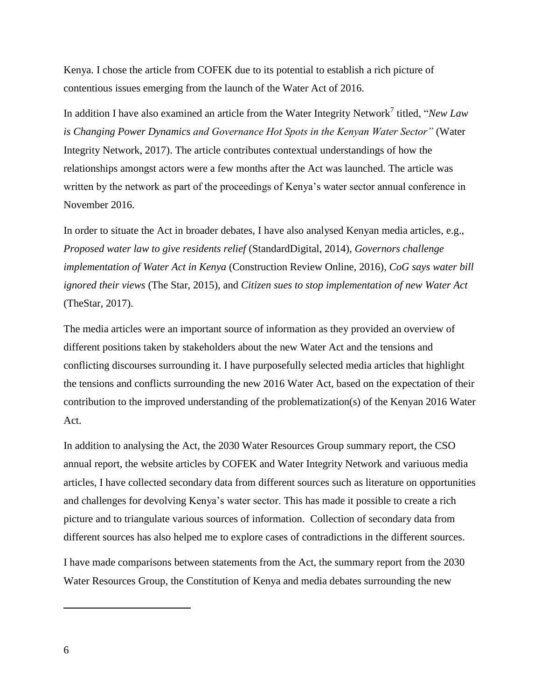Kenya. I chose the article from COFEK due to its potential to establish a rich picture of contentious issues emerging from the launch of the Water Act of 2016.

In addition I have also examined an article from the Water Integrity Network<sup>7</sup> titled, "*New Law is Changing Power Dynamics and Governance Hot Spots in the Kenyan Water Sector"* (Water Integrity Network, 2017). The article contributes contextual understandings of how the relationships amongst actors were a few months after the Act was launched. The article was written by the network as part of the proceedings of Kenya's water sector annual conference in November 2016.

In order to situate the Act in broader debates, I have also analysed Kenyan media articles, e.g., *Proposed water law to give residents relief* (StandardDigital, 2014), *Governors challenge implementation of Water Act in Kenya* (Construction Review Online, 2016)*, CoG says water bill ignored their views* (The Star, 2015), and *Citizen sues to stop implementation of new Water Act* (TheStar, 2017).

The media articles were an important source of information as they provided an overview of different positions taken by stakeholders about the new Water Act and the tensions and conflicting discourses surrounding it. I have purposefully selected media articles that highlight the tensions and conflicts surrounding the new 2016 Water Act, based on the expectation of their contribution to the improved understanding of the problematization(s) of the Kenyan 2016 Water Act.

In addition to analysing the Act, the 2030 Water Resources Group summary report, the CSO annual report, the website articles by COFEK and Water Integrity Network and variuous media articles, I have collected secondary data from different sources such as literature on opportunities and challenges for devolving Kenya's water sector. This has made it possible to create a rich picture and to triangulate various sources of information. Collection of secondary data from different sources has also helped me to explore cases of contradictions in the different sources.

I have made comparisons between statements from the Act, the summary report from the 2030 Water Resources Group, the Constitution of Kenya and media debates surrounding the new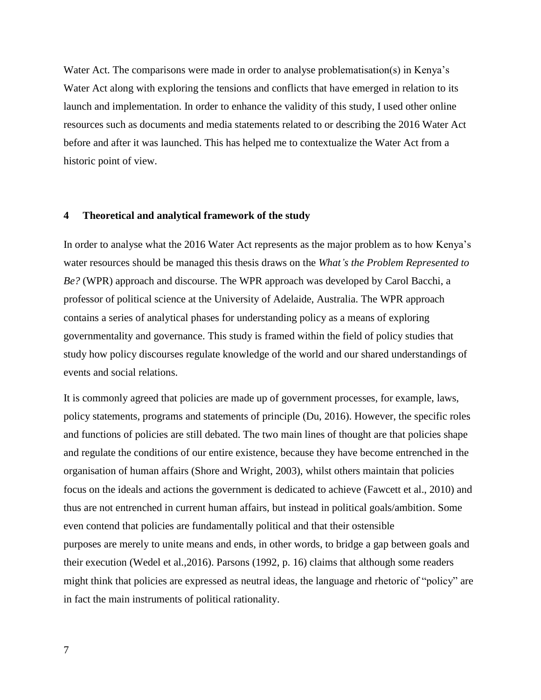Water Act. The comparisons were made in order to analyse problematisation(s) in Kenya's Water Act along with exploring the tensions and conflicts that have emerged in relation to its launch and implementation. In order to enhance the validity of this study, I used other online resources such as documents and media statements related to or describing the 2016 Water Act before and after it was launched. This has helped me to contextualize the Water Act from a historic point of view.

#### **4 Theoretical and analytical framework of the study**

In order to analyse what the 2016 Water Act represents as the major problem as to how Kenya's water resources should be managed this thesis draws on the *What's the Problem Represented to Be?* (WPR) approach and discourse. The WPR approach was developed by Carol Bacchi, a professor of political science at the University of Adelaide, Australia. The WPR approach contains a series of analytical phases for understanding policy as a means of exploring governmentality and governance. This study is framed within the field of policy studies that study how policy discourses regulate knowledge of the world and our shared understandings of events and social relations.

It is commonly agreed that policies are made up of government processes, for example, laws, policy statements, programs and statements of principle (Du, 2016). However, the specific roles and functions of policies are still debated. The two main lines of thought are that policies shape and regulate the conditions of our entire existence, because they have become entrenched in the organisation of human affairs (Shore and Wright, 2003), whilst others maintain that policies focus on the ideals and actions the government is dedicated to achieve (Fawcett et al., 2010) and thus are not entrenched in current human affairs, but instead in political goals/ambition. Some even contend that policies are fundamentally political and that their ostensible purposes are merely to unite means and ends, in other words, to bridge a gap between goals and their execution (Wedel et al.,2016). Parsons (1992, p. 16) claims that although some readers might think that policies are expressed as neutral ideas, the language and rhetoric of "policy" are in fact the main instruments of political rationality.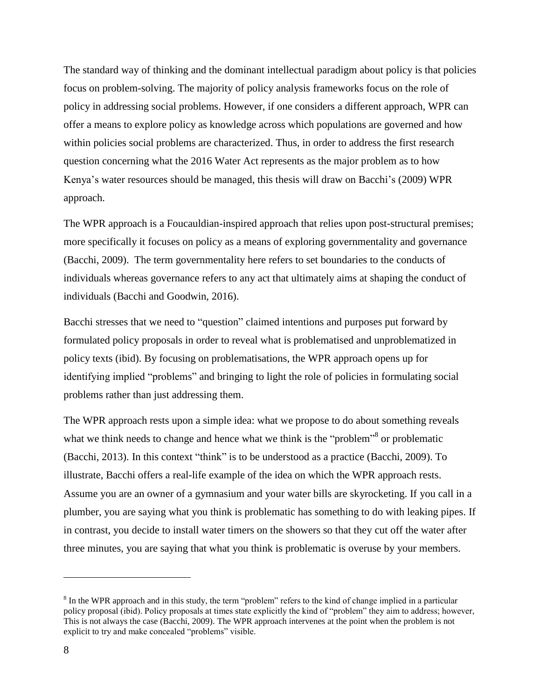The standard way of thinking and the dominant intellectual paradigm about policy is that policies focus on problem-solving. The majority of policy analysis frameworks focus on the role of policy in addressing social problems. However, if one considers a different approach, WPR can offer a means to explore policy as knowledge across which populations are governed and how within policies social problems are characterized. Thus, in order to address the first research question concerning what the 2016 Water Act represents as the major problem as to how Kenya's water resources should be managed, this thesis will draw on Bacchi's (2009) WPR approach.

The WPR approach is a Foucauldian-inspired approach that relies upon post-structural premises; more specifically it focuses on policy as a means of exploring governmentality and governance (Bacchi, 2009). The term governmentality here refers to set boundaries to the conducts of individuals whereas governance refers to any act that ultimately aims at shaping the conduct of individuals (Bacchi and Goodwin, 2016).

Bacchi stresses that we need to "question" claimed intentions and purposes put forward by formulated policy proposals in order to reveal what is problematised and unproblematized in policy texts (ibid). By focusing on problematisations, the WPR approach opens up for identifying implied "problems" and bringing to light the role of policies in formulating social problems rather than just addressing them.

The WPR approach rests upon a simple idea: what we propose to do about something reveals what we think needs to change and hence what we think is the "problem"<sup>8</sup> or problematic (Bacchi, 2013). In this context "think" is to be understood as a practice (Bacchi, 2009). To illustrate, Bacchi offers a real-life example of the idea on which the WPR approach rests. Assume you are an owner of a gymnasium and your water bills are skyrocketing. If you call in a plumber, you are saying what you think is problematic has something to do with leaking pipes. If in contrast, you decide to install water timers on the showers so that they cut off the water after three minutes, you are saying that what you think is problematic is overuse by your members.

 $8 \text{ In the WPR approach and in this study, the term "problem" refers to the kind of change implied in a particular$ policy proposal (ibid). Policy proposals at times state explicitly the kind of "problem" they aim to address; however, This is not always the case (Bacchi, 2009). The WPR approach intervenes at the point when the problem is not explicit to try and make concealed "problems" visible.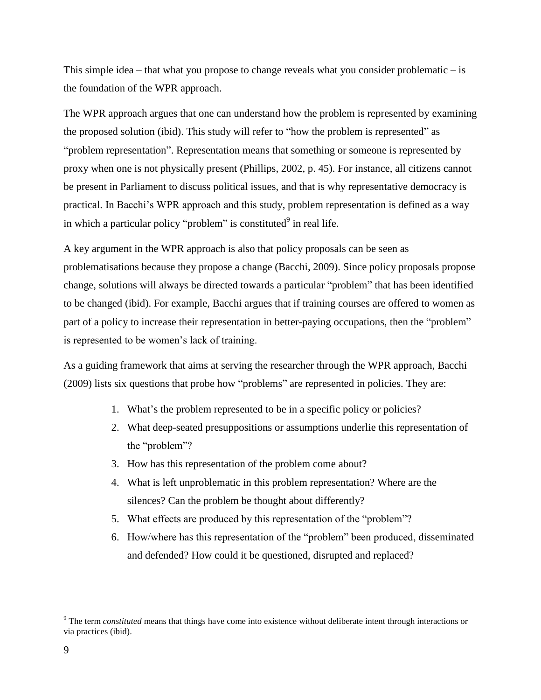This simple idea – that what you propose to change reveals what you consider problematic – is the foundation of the WPR approach.

The WPR approach argues that one can understand how the problem is represented by examining the proposed solution (ibid). This study will refer to "how the problem is represented" as "problem representation". Representation means that something or someone is represented by proxy when one is not physically present (Phillips, 2002, p. 45). For instance, all citizens cannot be present in Parliament to discuss political issues, and that is why representative democracy is practical. In Bacchi's WPR approach and this study, problem representation is defined as a way in which a particular policy "problem" is constituted $9$  in real life.

A key argument in the WPR approach is also that policy proposals can be seen as problematisations because they propose a change (Bacchi, 2009). Since policy proposals propose change, solutions will always be directed towards a particular "problem" that has been identified to be changed (ibid). For example, Bacchi argues that if training courses are offered to women as part of a policy to increase their representation in better-paying occupations, then the "problem" is represented to be women's lack of training.

As a guiding framework that aims at serving the researcher through the WPR approach, Bacchi (2009) lists six questions that probe how "problems" are represented in policies. They are:

- 1. What's the problem represented to be in a specific policy or policies?
- 2. What deep-seated presuppositions or assumptions underlie this representation of the "problem"?
- 3. How has this representation of the problem come about?
- 4. What is left unproblematic in this problem representation? Where are the silences? Can the problem be thought about differently?
- 5. What effects are produced by this representation of the "problem"?
- 6. How/where has this representation of the "problem" been produced, disseminated and defended? How could it be questioned, disrupted and replaced?

<sup>&</sup>lt;sup>9</sup> The term *constituted* means that things have come into existence without deliberate intent through interactions or via practices (ibid).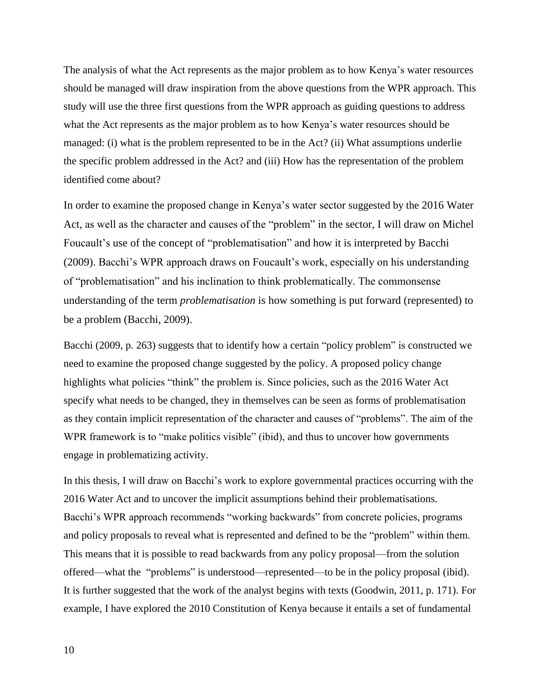The analysis of what the Act represents as the major problem as to how Kenya's water resources should be managed will draw inspiration from the above questions from the WPR approach. This study will use the three first questions from the WPR approach as guiding questions to address what the Act represents as the major problem as to how Kenya's water resources should be managed: (i) what is the problem represented to be in the Act? (ii) What assumptions underlie the specific problem addressed in the Act? and (iii) How has the representation of the problem identified come about?

In order to examine the proposed change in Kenya's water sector suggested by the 2016 Water Act, as well as the character and causes of the "problem" in the sector, I will draw on Michel Foucault's use of the concept of "problematisation" and how it is interpreted by Bacchi (2009). Bacchi's WPR approach draws on Foucault's work, especially on his understanding of "problematisation" and his inclination to think problematically. The commonsense understanding of the term *problematisation* is how something is put forward (represented) to be a problem (Bacchi, 2009).

Bacchi (2009, p. 263) suggests that to identify how a certain "policy problem" is constructed we need to examine the proposed change suggested by the policy. A proposed policy change highlights what policies "think" the problem is. Since policies, such as the 2016 Water Act specify what needs to be changed, they in themselves can be seen as forms of problematisation as they contain implicit representation of the character and causes of "problems". The aim of the WPR framework is to "make politics visible" (ibid), and thus to uncover how governments engage in problematizing activity.

In this thesis, I will draw on Bacchi's work to explore governmental practices occurring with the 2016 Water Act and to uncover the implicit assumptions behind their problematisations. Bacchi's WPR approach recommends "working backwards" from concrete policies, programs and policy proposals to reveal what is represented and defined to be the "problem" within them. This means that it is possible to read backwards from any policy proposal—from the solution offered—what the "problems" is understood—represented—to be in the policy proposal (ibid). It is further suggested that the work of the analyst begins with texts (Goodwin, 2011, p. 171). For example, I have explored the 2010 Constitution of Kenya because it entails a set of fundamental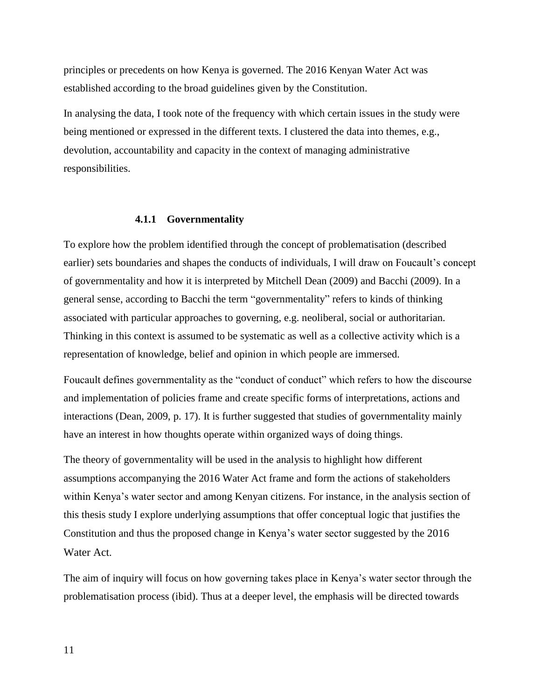principles or precedents on how Kenya is governed. The 2016 Kenyan Water Act was established according to the broad guidelines given by the Constitution.

In analysing the data, I took note of the frequency with which certain issues in the study were being mentioned or expressed in the different texts. I clustered the data into themes, e.g., devolution, accountability and capacity in the context of managing administrative responsibilities.

#### **4.1.1 Governmentality**

To explore how the problem identified through the concept of problematisation (described earlier) sets boundaries and shapes the conducts of individuals, I will draw on Foucault's concept of governmentality and how it is interpreted by Mitchell Dean (2009) and Bacchi (2009). In a general sense, according to Bacchi the term "governmentality" refers to kinds of thinking associated with particular approaches to governing, e.g. neoliberal, social or authoritarian. Thinking in this context is assumed to be systematic as well as a collective activity which is a representation of knowledge, belief and opinion in which people are immersed.

Foucault defines governmentality as the "conduct of conduct" which refers to how the discourse and implementation of policies frame and create specific forms of interpretations, actions and interactions (Dean, 2009, p. 17). It is further suggested that studies of governmentality mainly have an interest in how thoughts operate within organized ways of doing things.

The theory of governmentality will be used in the analysis to highlight how different assumptions accompanying the 2016 Water Act frame and form the actions of stakeholders within Kenya's water sector and among Kenyan citizens. For instance, in the analysis section of this thesis study I explore underlying assumptions that offer conceptual logic that justifies the Constitution and thus the proposed change in Kenya's water sector suggested by the 2016 Water Act.

The aim of inquiry will focus on how governing takes place in Kenya's water sector through the problematisation process (ibid). Thus at a deeper level, the emphasis will be directed towards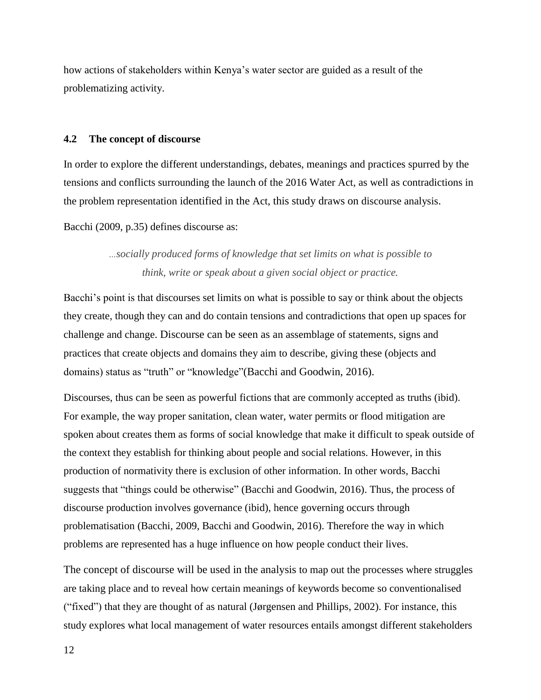how actions of stakeholders within Kenya's water sector are guided as a result of the problematizing activity.

#### **4.2 The concept of discourse**

In order to explore the different understandings, debates, meanings and practices spurred by the tensions and conflicts surrounding the launch of the 2016 Water Act, as well as contradictions in the problem representation identified in the Act, this study draws on discourse analysis.

Bacchi (2009, p.35) defines discourse as:

*…socially produced forms of knowledge that set limits on what is possible to think, write or speak about a given social object or practice.*

Bacchi's point is that discourses set limits on what is possible to say or think about the objects they create, though they can and do contain tensions and contradictions that open up spaces for challenge and change. Discourse can be seen as an assemblage of statements, signs and practices that create objects and domains they aim to describe, giving these (objects and domains) status as "truth" or "knowledge"(Bacchi and Goodwin, 2016).

Discourses, thus can be seen as powerful fictions that are commonly accepted as truths (ibid). For example, the way proper sanitation, clean water, water permits or flood mitigation are spoken about creates them as forms of social knowledge that make it difficult to speak outside of the context they establish for thinking about people and social relations. However, in this production of normativity there is exclusion of other information. In other words, Bacchi suggests that "things could be otherwise" (Bacchi and Goodwin, 2016). Thus, the process of discourse production involves governance (ibid), hence governing occurs through problematisation (Bacchi, 2009, Bacchi and Goodwin, 2016). Therefore the way in which problems are represented has a huge influence on how people conduct their lives.

The concept of discourse will be used in the analysis to map out the processes where struggles are taking place and to reveal how certain meanings of keywords become so conventionalised ("fixed") that they are thought of as natural (Jørgensen and Phillips, 2002). For instance, this study explores what local management of water resources entails amongst different stakeholders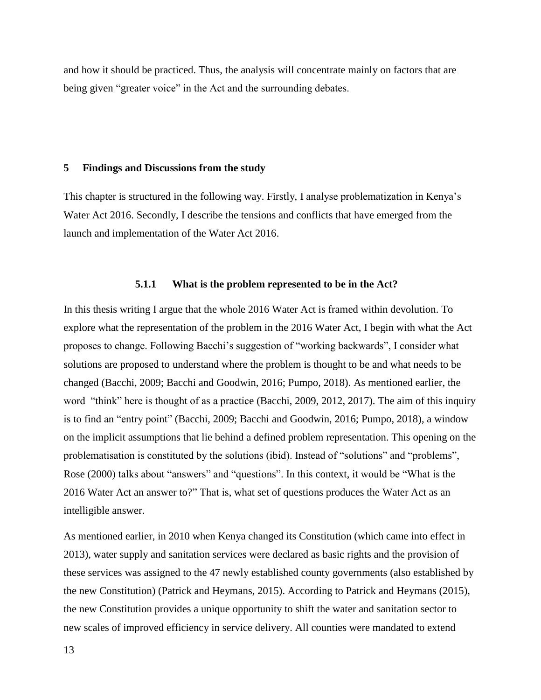and how it should be practiced. Thus, the analysis will concentrate mainly on factors that are being given "greater voice" in the Act and the surrounding debates.

#### **5 Findings and Discussions from the study**

This chapter is structured in the following way. Firstly, I analyse problematization in Kenya's Water Act 2016. Secondly, I describe the tensions and conflicts that have emerged from the launch and implementation of the Water Act 2016.

#### **5.1.1 What is the problem represented to be in the Act?**

In this thesis writing I argue that the whole 2016 Water Act is framed within devolution. To explore what the representation of the problem in the 2016 Water Act, I begin with what the Act proposes to change. Following Bacchi's suggestion of "working backwards", I consider what solutions are proposed to understand where the problem is thought to be and what needs to be changed (Bacchi, 2009; Bacchi and Goodwin, 2016; Pumpo, 2018). As mentioned earlier, the word "think" here is thought of as a practice (Bacchi, 2009, 2012, 2017). The aim of this inquiry is to find an "entry point" (Bacchi, 2009; Bacchi and Goodwin, 2016; Pumpo, 2018), a window on the implicit assumptions that lie behind a defined problem representation. This opening on the problematisation is constituted by the solutions (ibid). Instead of "solutions" and "problems", Rose (2000) talks about "answers" and "questions". In this context, it would be "What is the 2016 Water Act an answer to?" That is, what set of questions produces the Water Act as an intelligible answer.

As mentioned earlier, in 2010 when Kenya changed its Constitution (which came into effect in 2013), water supply and sanitation services were declared as basic rights and the provision of these services was assigned to the 47 newly established county governments (also established by the new Constitution) (Patrick and Heymans, 2015). According to Patrick and Heymans (2015), the new Constitution provides a unique opportunity to shift the water and sanitation sector to new scales of improved efficiency in service delivery. All counties were mandated to extend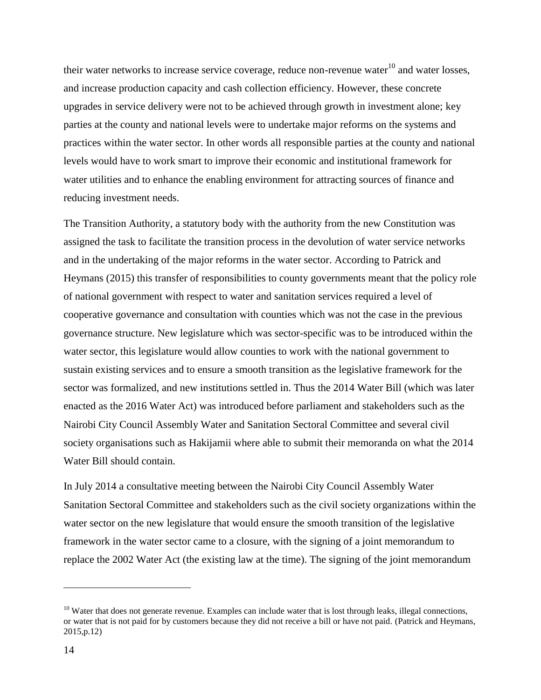their water networks to increase service coverage, reduce non-revenue water $^{10}$  and water losses, and increase production capacity and cash collection efficiency. However, these concrete upgrades in service delivery were not to be achieved through growth in investment alone; key parties at the county and national levels were to undertake major reforms on the systems and practices within the water sector. In other words all responsible parties at the county and national levels would have to work smart to improve their economic and institutional framework for water utilities and to enhance the enabling environment for attracting sources of finance and reducing investment needs.

The Transition Authority, a statutory body with the authority from the new Constitution was assigned the task to facilitate the transition process in the devolution of water service networks and in the undertaking of the major reforms in the water sector. According to Patrick and Heymans (2015) this transfer of responsibilities to county governments meant that the policy role of national government with respect to water and sanitation services required a level of cooperative governance and consultation with counties which was not the case in the previous governance structure. New legislature which was sector-specific was to be introduced within the water sector, this legislature would allow counties to work with the national government to sustain existing services and to ensure a smooth transition as the legislative framework for the sector was formalized, and new institutions settled in. Thus the 2014 Water Bill (which was later enacted as the 2016 Water Act) was introduced before parliament and stakeholders such as the Nairobi City Council Assembly Water and Sanitation Sectoral Committee and several civil society organisations such as Hakijamii where able to submit their memoranda on what the 2014 Water Bill should contain.

In July 2014 a consultative meeting between the Nairobi City Council Assembly Water Sanitation Sectoral Committee and stakeholders such as the civil society organizations within the water sector on the new legislature that would ensure the smooth transition of the legislative framework in the water sector came to a closure, with the signing of a joint memorandum to replace the 2002 Water Act (the existing law at the time). The signing of the joint memorandum

 $\overline{a}$ 

 $10$  Water that does not generate revenue. Examples can include water that is lost through leaks, illegal connections, or water that is not paid for by customers because they did not receive a bill or have not paid. (Patrick and Heymans, 2015,p.12)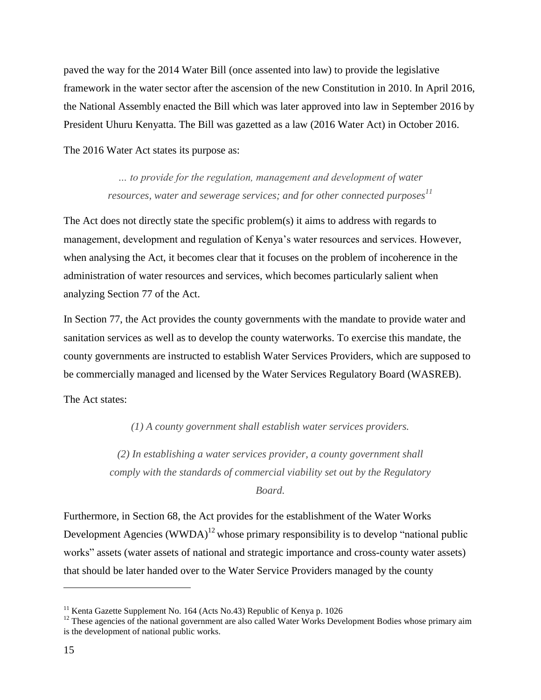paved the way for the 2014 Water Bill (once assented into law) to provide the legislative framework in the water sector after the ascension of the new Constitution in 2010. In April 2016, the National Assembly enacted the Bill which was later approved into law in September 2016 by President Uhuru Kenyatta. The Bill was gazetted as a law (2016 Water Act) in October 2016.

The 2016 Water Act states its purpose as:

*… to provide for the regulation, management and development of water resources, water and sewerage services; and for other connected purposes<sup>11</sup>*

The Act does not directly state the specific problem(s) it aims to address with regards to management, development and regulation of Kenya's water resources and services. However, when analysing the Act, it becomes clear that it focuses on the problem of incoherence in the administration of water resources and services, which becomes particularly salient when analyzing Section 77 of the Act.

In Section 77, the Act provides the county governments with the mandate to provide water and sanitation services as well as to develop the county waterworks. To exercise this mandate, the county governments are instructed to establish Water Services Providers, which are supposed to be commercially managed and licensed by the Water Services Regulatory Board (WASREB).

The Act states:

*(1) A county government shall establish water services providers.*

*(2) In establishing a water services provider, a county government shall comply with the standards of commercial viability set out by the Regulatory* 

*Board.*

Furthermore, in Section 68, the Act provides for the establishment of the Water Works Development Agencies (WWDA)<sup>12</sup> whose primary responsibility is to develop "national public works" assets (water assets of national and strategic importance and cross-county water assets) that should be later handed over to the Water Service Providers managed by the county

<sup>&</sup>lt;sup>11</sup> Kenta Gazette Supplement No. 164 (Acts No. 43) Republic of Kenya p. 1026

<sup>&</sup>lt;sup>12</sup> These agencies of the national government are also called Water Works Development Bodies whose primary aim is the development of national public works.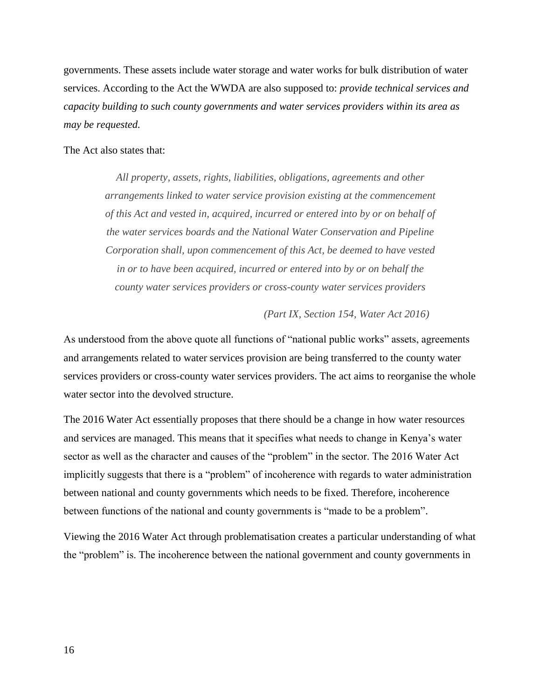governments. These assets include water storage and water works for bulk distribution of water services. According to the Act the WWDA are also supposed to: *provide technical services and capacity building to such county governments and water services providers within its area as may be requested.*

#### The Act also states that:

*All property, assets, rights, liabilities, obligations, agreements and other arrangements linked to water service provision existing at the commencement of this Act and vested in, acquired, incurred or entered into by or on behalf of the water services boards and the National Water Conservation and Pipeline Corporation shall, upon commencement of this Act, be deemed to have vested in or to have been acquired, incurred or entered into by or on behalf the county water services providers or cross-county water services providers* 

*(Part IX, Section 154, Water Act 2016)*

As understood from the above quote all functions of "national public works" assets, agreements and arrangements related to water services provision are being transferred to the county water services providers or cross-county water services providers. The act aims to reorganise the whole water sector into the devolved structure.

The 2016 Water Act essentially proposes that there should be a change in how water resources and services are managed. This means that it specifies what needs to change in Kenya's water sector as well as the character and causes of the "problem" in the sector. The 2016 Water Act implicitly suggests that there is a "problem" of incoherence with regards to water administration between national and county governments which needs to be fixed. Therefore, incoherence between functions of the national and county governments is "made to be a problem".

Viewing the 2016 Water Act through problematisation creates a particular understanding of what the "problem" is. The incoherence between the national government and county governments in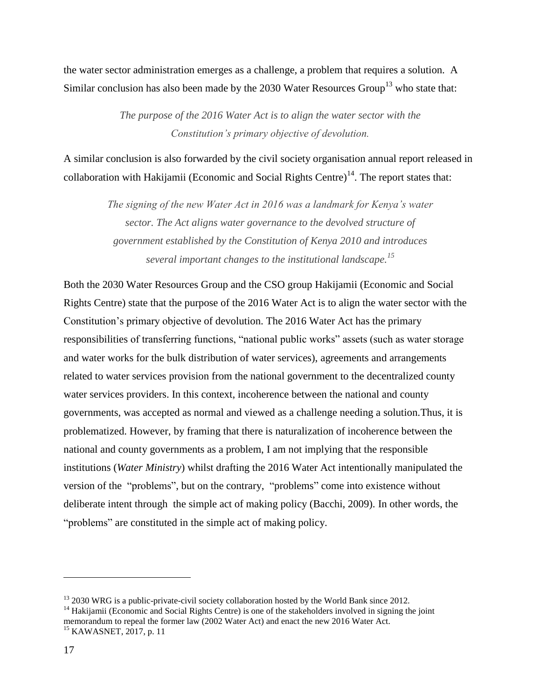the water sector administration emerges as a challenge, a problem that requires a solution. A Similar conclusion has also been made by the  $2030$  Water Resources Group<sup>13</sup> who state that:

> *The purpose of the 2016 Water Act is to align the water sector with the Constitution's primary objective of devolution.*

A similar conclusion is also forwarded by the civil society organisation annual report released in collaboration with Hakijamii (Economic and Social Rights Centre)<sup>14</sup>. The report states that:

> *The signing of the new Water Act in 2016 was a landmark for Kenya's water sector. The Act aligns water governance to the devolved structure of government established by the Constitution of Kenya 2010 and introduces several important changes to the institutional landscape.<sup>15</sup>*

Both the 2030 Water Resources Group and the CSO group Hakijamii (Economic and Social Rights Centre) state that the purpose of the 2016 Water Act is to align the water sector with the Constitution's primary objective of devolution. The 2016 Water Act has the primary responsibilities of transferring functions, "national public works" assets (such as water storage and water works for the bulk distribution of water services), agreements and arrangements related to water services provision from the national government to the decentralized county water services providers. In this context, incoherence between the national and county governments, was accepted as normal and viewed as a challenge needing a solution.Thus, it is problematized. However, by framing that there is naturalization of incoherence between the national and county governments as a problem, I am not implying that the responsible institutions (*Water Ministry*) whilst drafting the 2016 Water Act intentionally manipulated the version of the "problems", but on the contrary, "problems" come into existence without deliberate intent through the simple act of making policy (Bacchi, 2009). In other words, the "problems" are constituted in the simple act of making policy.

 $\overline{a}$ 

<sup>&</sup>lt;sup>13</sup> 2030 WRG is a public-private-civil society collaboration hosted by the World Bank since 2012.

<sup>&</sup>lt;sup>14</sup> Hakijamii (Economic and Social Rights Centre) is one of the stakeholders involved in signing the joint memorandum to repeal the former law (2002 Water Act) and enact the new 2016 Water Act.

<sup>&</sup>lt;sup>15</sup> KAWASNET, 2017, p. 11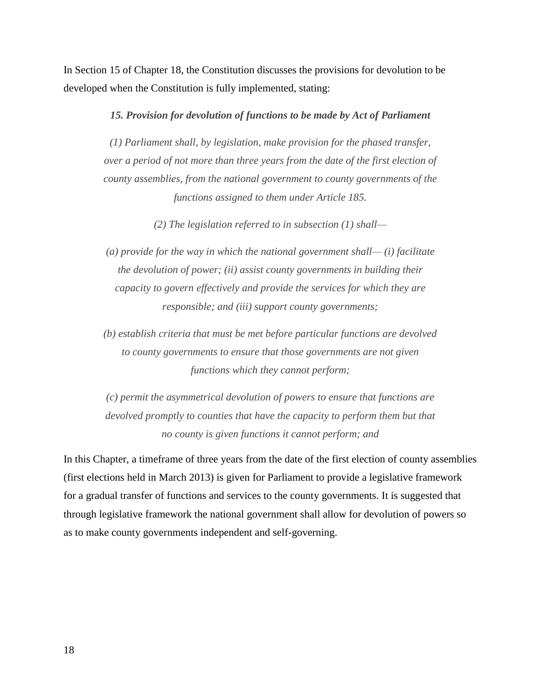In Section 15 of Chapter 18, the Constitution discusses the provisions for devolution to be developed when the Constitution is fully implemented, stating:

#### *15. Provision for devolution of functions to be made by Act of Parliament*

*(1) Parliament shall, by legislation, make provision for the phased transfer, over a period of not more than three years from the date of the first election of county assemblies, from the national government to county governments of the functions assigned to them under Article 185.*

*(2) The legislation referred to in subsection (1) shall—*

*(a) provide for the way in which the national government shall— (i) facilitate the devolution of power; (ii) assist county governments in building their capacity to govern effectively and provide the services for which they are responsible; and (iii) support county governments;*

*(b) establish criteria that must be met before particular functions are devolved to county governments to ensure that those governments are not given functions which they cannot perform;*

*(c) permit the asymmetrical devolution of powers to ensure that functions are devolved promptly to counties that have the capacity to perform them but that no county is given functions it cannot perform; and*

In this Chapter, a timeframe of three years from the date of the first election of county assemblies (first elections held in March 2013) is given for Parliament to provide a legislative framework for a gradual transfer of functions and services to the county governments. It is suggested that through legislative framework the national government shall allow for devolution of powers so as to make county governments independent and self-governing.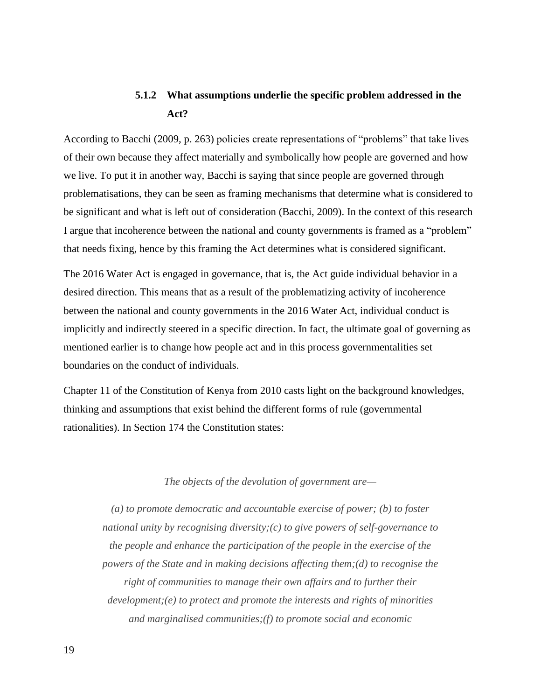### **5.1.2 What assumptions underlie the specific problem addressed in the Act?**

According to Bacchi (2009, p. 263) policies create representations of "problems" that take lives of their own because they affect materially and symbolically how people are governed and how we live. To put it in another way, Bacchi is saying that since people are governed through problematisations, they can be seen as framing mechanisms that determine what is considered to be significant and what is left out of consideration (Bacchi, 2009). In the context of this research I argue that incoherence between the national and county governments is framed as a "problem" that needs fixing, hence by this framing the Act determines what is considered significant.

The 2016 Water Act is engaged in governance, that is, the Act guide individual behavior in a desired direction. This means that as a result of the problematizing activity of incoherence between the national and county governments in the 2016 Water Act, individual conduct is implicitly and indirectly steered in a specific direction. In fact, the ultimate goal of governing as mentioned earlier is to change how people act and in this process governmentalities set boundaries on the conduct of individuals.

Chapter 11 of the Constitution of Kenya from 2010 casts light on the background knowledges, thinking and assumptions that exist behind the different forms of rule (governmental rationalities). In Section 174 the Constitution states:

#### *The objects of the devolution of government are—*

*(a) to promote democratic and accountable exercise of power; (b) to foster national unity by recognising diversity;(c) to give powers of self-governance to the people and enhance the participation of the people in the exercise of the powers of the State and in making decisions affecting them;(d) to recognise the right of communities to manage their own affairs and to further their development;(e) to protect and promote the interests and rights of minorities and marginalised communities;(f) to promote social and economic*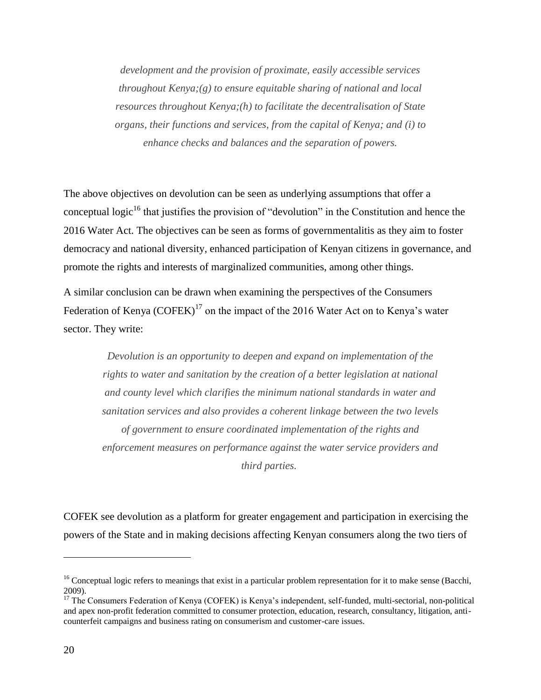*development and the provision of proximate, easily accessible services throughout Kenya;(g) to ensure equitable sharing of national and local resources throughout Kenya;(h) to facilitate the decentralisation of State organs, their functions and services, from the capital of Kenya; and (i) to enhance checks and balances and the separation of powers.*

The above objectives on devolution can be seen as underlying assumptions that offer a conceptual logic<sup>16</sup> that justifies the provision of "devolution" in the Constitution and hence the 2016 Water Act. The objectives can be seen as forms of governmentalitis as they aim to foster democracy and national diversity, enhanced participation of Kenyan citizens in governance, and promote the rights and interests of marginalized communities, among other things.

A similar conclusion can be drawn when examining the perspectives of the Consumers Federation of Kenya  $(COFEK)^{17}$  on the impact of the 2016 Water Act on to Kenya's water sector. They write:

> *Devolution is an opportunity to deepen and expand on implementation of the rights to water and sanitation by the creation of a better legislation at national and county level which clarifies the minimum national standards in water and sanitation services and also provides a coherent linkage between the two levels of government to ensure coordinated implementation of the rights and enforcement measures on performance against the water service providers and third parties.*

COFEK see devolution as a platform for greater engagement and participation in exercising the powers of the State and in making decisions affecting Kenyan consumers along the two tiers of

 $\overline{a}$ 

 $16$  Conceptual logic refers to meanings that exist in a particular problem representation for it to make sense (Bacchi, 2009).

<sup>&</sup>lt;sup>17</sup> The Consumers Federation of Kenya (COFEK) is Kenya's independent, self-funded, multi-sectorial, non-political and apex non-profit federation committed to consumer protection, education, research, consultancy, litigation, anticounterfeit campaigns and business rating on consumerism and customer-care issues.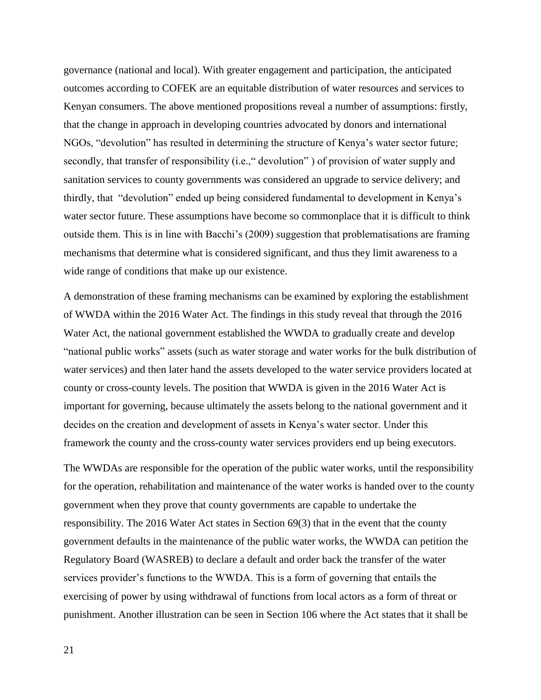governance (national and local). With greater engagement and participation, the anticipated outcomes according to COFEK are an equitable distribution of water resources and services to Kenyan consumers. The above mentioned propositions reveal a number of assumptions: firstly, that the change in approach in developing countries advocated by donors and international NGOs, "devolution" has resulted in determining the structure of Kenya's water sector future; secondly, that transfer of responsibility (i.e., "devolution") of provision of water supply and sanitation services to county governments was considered an upgrade to service delivery; and thirdly, that "devolution" ended up being considered fundamental to development in Kenya's water sector future. These assumptions have become so commonplace that it is difficult to think outside them. This is in line with Bacchi's (2009) suggestion that problematisations are framing mechanisms that determine what is considered significant, and thus they limit awareness to a wide range of conditions that make up our existence.

A demonstration of these framing mechanisms can be examined by exploring the establishment of WWDA within the 2016 Water Act. The findings in this study reveal that through the 2016 Water Act, the national government established the WWDA to gradually create and develop "national public works" assets (such as water storage and water works for the bulk distribution of water services) and then later hand the assets developed to the water service providers located at county or cross-county levels. The position that WWDA is given in the 2016 Water Act is important for governing, because ultimately the assets belong to the national government and it decides on the creation and development of assets in Kenya's water sector. Under this framework the county and the cross-county water services providers end up being executors.

The WWDAs are responsible for the operation of the public water works, until the responsibility for the operation, rehabilitation and maintenance of the water works is handed over to the county government when they prove that county governments are capable to undertake the responsibility. The 2016 Water Act states in Section 69(3) that in the event that the county government defaults in the maintenance of the public water works, the WWDA can petition the Regulatory Board (WASREB) to declare a default and order back the transfer of the water services provider's functions to the WWDA. This is a form of governing that entails the exercising of power by using withdrawal of functions from local actors as a form of threat or punishment. Another illustration can be seen in Section 106 where the Act states that it shall be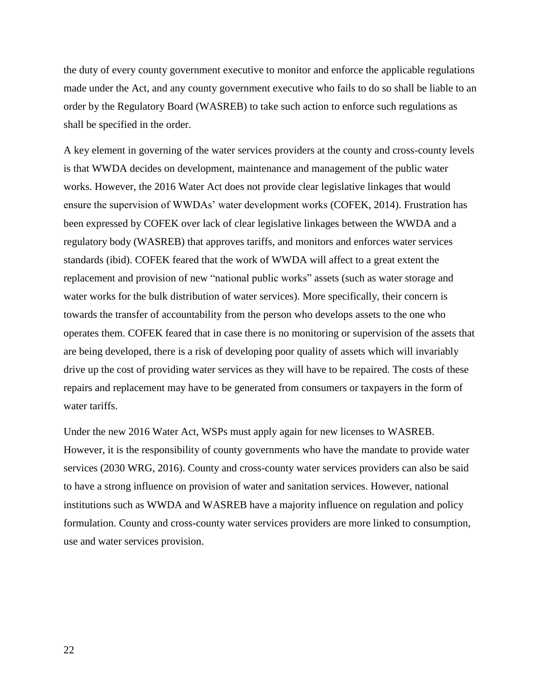the duty of every county government executive to monitor and enforce the applicable regulations made under the Act, and any county government executive who fails to do so shall be liable to an order by the Regulatory Board (WASREB) to take such action to enforce such regulations as shall be specified in the order.

A key element in governing of the water services providers at the county and cross-county levels is that WWDA decides on development, maintenance and management of the public water works. However, the 2016 Water Act does not provide clear legislative linkages that would ensure the supervision of WWDAs' water development works (COFEK, 2014). Frustration has been expressed by COFEK over lack of clear legislative linkages between the WWDA and a regulatory body (WASREB) that approves tariffs, and monitors and enforces water services standards (ibid). COFEK feared that the work of WWDA will affect to a great extent the replacement and provision of new "national public works" assets (such as water storage and water works for the bulk distribution of water services). More specifically, their concern is towards the transfer of accountability from the person who develops assets to the one who operates them. COFEK feared that in case there is no monitoring or supervision of the assets that are being developed, there is a risk of developing poor quality of assets which will invariably drive up the cost of providing water services as they will have to be repaired. The costs of these repairs and replacement may have to be generated from consumers or taxpayers in the form of water tariffs.

Under the new 2016 Water Act, WSPs must apply again for new licenses to WASREB. However, it is the responsibility of county governments who have the mandate to provide water services (2030 WRG, 2016). County and cross-county water services providers can also be said to have a strong influence on provision of water and sanitation services. However, national institutions such as WWDA and WASREB have a majority influence on regulation and policy formulation. County and cross-county water services providers are more linked to consumption, use and water services provision.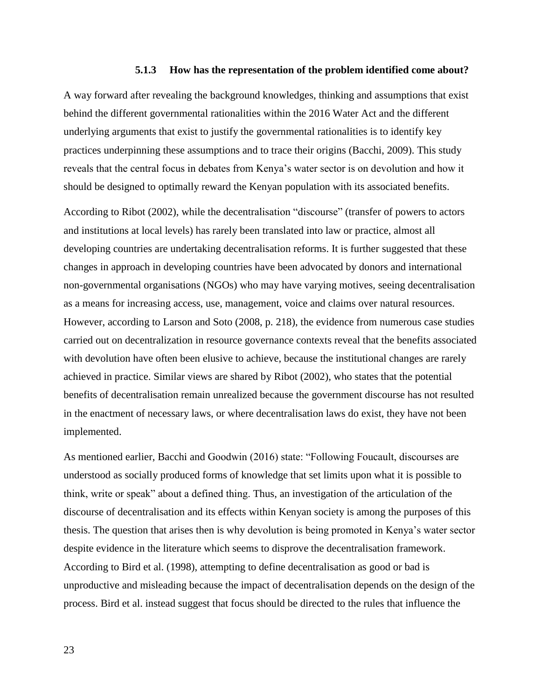#### **5.1.3 How has the representation of the problem identified come about?**

A way forward after revealing the background knowledges, thinking and assumptions that exist behind the different governmental rationalities within the 2016 Water Act and the different underlying arguments that exist to justify the governmental rationalities is to identify key practices underpinning these assumptions and to trace their origins (Bacchi, 2009). This study reveals that the central focus in debates from Kenya's water sector is on devolution and how it should be designed to optimally reward the Kenyan population with its associated benefits.

According to Ribot (2002), while the decentralisation "discourse" (transfer of powers to actors and institutions at local levels) has rarely been translated into law or practice, almost all developing countries are undertaking decentralisation reforms. It is further suggested that these changes in approach in developing countries have been advocated by donors and international non-governmental organisations (NGOs) who may have varying motives, seeing decentralisation as a means for increasing access, use, management, voice and claims over natural resources. However, according to Larson and Soto (2008, p. 218), the evidence from numerous case studies carried out on decentralization in resource governance contexts reveal that the benefits associated with devolution have often been elusive to achieve, because the institutional changes are rarely achieved in practice. Similar views are shared by Ribot (2002), who states that the potential benefits of decentralisation remain unrealized because the government discourse has not resulted in the enactment of necessary laws, or where decentralisation laws do exist, they have not been implemented.

As mentioned earlier, Bacchi and Goodwin (2016) state: "Following Foucault, discourses are understood as socially produced forms of knowledge that set limits upon what it is possible to think, write or speak" about a defined thing. Thus, an investigation of the articulation of the discourse of decentralisation and its effects within Kenyan society is among the purposes of this thesis. The question that arises then is why devolution is being promoted in Kenya's water sector despite evidence in the literature which seems to disprove the decentralisation framework. According to Bird et al. (1998), attempting to define decentralisation as good or bad is unproductive and misleading because the impact of decentralisation depends on the design of the process. Bird et al. instead suggest that focus should be directed to the rules that influence the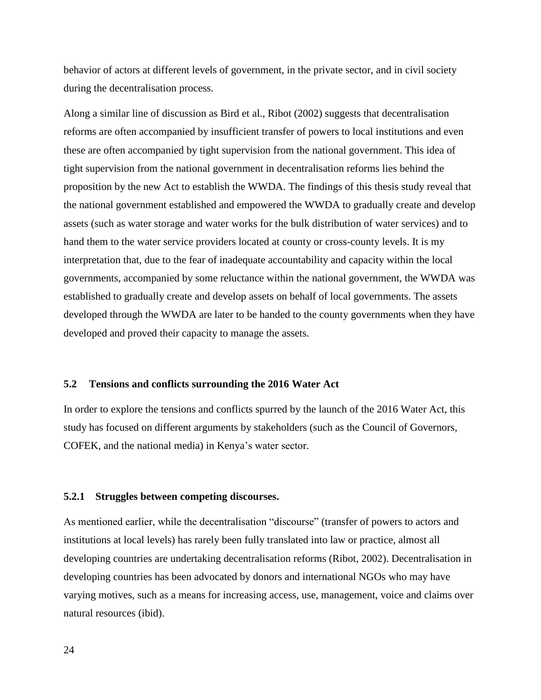behavior of actors at different levels of government, in the private sector, and in civil society during the decentralisation process.

Along a similar line of discussion as Bird et al., Ribot (2002) suggests that decentralisation reforms are often accompanied by insufficient transfer of powers to local institutions and even these are often accompanied by tight supervision from the national government. This idea of tight supervision from the national government in decentralisation reforms lies behind the proposition by the new Act to establish the WWDA. The findings of this thesis study reveal that the national government established and empowered the WWDA to gradually create and develop assets (such as water storage and water works for the bulk distribution of water services) and to hand them to the water service providers located at county or cross-county levels. It is my interpretation that, due to the fear of inadequate accountability and capacity within the local governments, accompanied by some reluctance within the national government, the WWDA was established to gradually create and develop assets on behalf of local governments. The assets developed through the WWDA are later to be handed to the county governments when they have developed and proved their capacity to manage the assets.

#### **5.2 Tensions and conflicts surrounding the 2016 Water Act**

In order to explore the tensions and conflicts spurred by the launch of the 2016 Water Act, this study has focused on different arguments by stakeholders (such as the Council of Governors, COFEK, and the national media) in Kenya's water sector.

#### **5.2.1 Struggles between competing discourses.**

As mentioned earlier, while the decentralisation "discourse" (transfer of powers to actors and institutions at local levels) has rarely been fully translated into law or practice, almost all developing countries are undertaking decentralisation reforms (Ribot, 2002). Decentralisation in developing countries has been advocated by donors and international NGOs who may have varying motives, such as a means for increasing access, use, management, voice and claims over natural resources (ibid).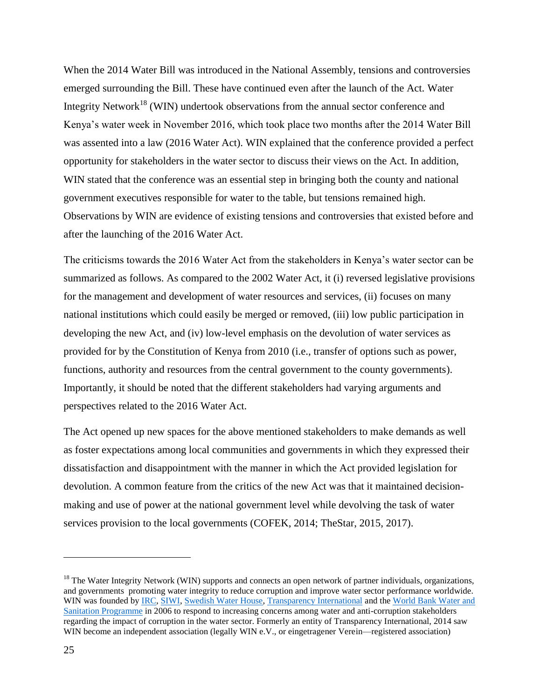When the 2014 Water Bill was introduced in the National Assembly, tensions and controversies emerged surrounding the Bill. These have continued even after the launch of the Act. Water Integrity Network<sup>18</sup> (WIN) undertook observations from the annual sector conference and Kenya's water week in November 2016, which took place two months after the 2014 Water Bill was assented into a law (2016 Water Act). WIN explained that the conference provided a perfect opportunity for stakeholders in the water sector to discuss their views on the Act. In addition, WIN stated that the conference was an essential step in bringing both the county and national government executives responsible for water to the table, but tensions remained high. Observations by WIN are evidence of existing tensions and controversies that existed before and after the launching of the 2016 Water Act.

The criticisms towards the 2016 Water Act from the stakeholders in Kenya's water sector can be summarized as follows. As compared to the 2002 Water Act, it (i) reversed legislative provisions for the management and development of water resources and services, (ii) focuses on many national institutions which could easily be merged or removed, (iii) low public participation in developing the new Act, and (iv) low-level emphasis on the devolution of water services as provided for by the Constitution of Kenya from 2010 (i.e., transfer of options such as power, functions, authority and resources from the central government to the county governments). Importantly, it should be noted that the different stakeholders had varying arguments and perspectives related to the 2016 Water Act.

The Act opened up new spaces for the above mentioned stakeholders to make demands as well as foster expectations among local communities and governments in which they expressed their dissatisfaction and disappointment with the manner in which the Act provided legislation for devolution. A common feature from the critics of the new Act was that it maintained decisionmaking and use of power at the national government level while devolving the task of water services provision to the local governments (COFEK, 2014; TheStar, 2015, 2017).

 $\overline{a}$ 

 $18$  The Water Integrity Network (WIN) supports and connects an open network of partner individuals, organizations, and governments promoting water integrity to reduce corruption and improve water sector performance worldwide. WIN was founded by IRC, SIWI, Swedish Water House, Transparency International and the World Bank Water and Sanitation Programme in 2006 to respond to increasing concerns among water and anti-corruption stakeholders regarding the impact of corruption in the water sector. Formerly an entity of Transparency International, 2014 saw WIN become an independent association (legally WIN e.V., or eingetragener Verein—registered association)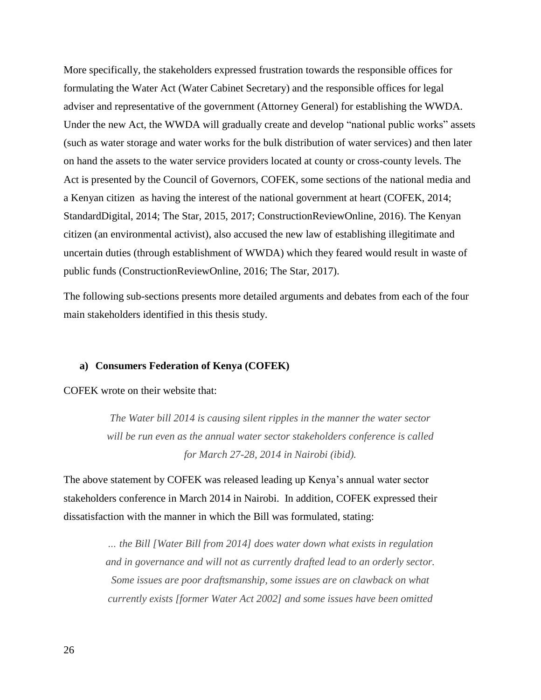More specifically, the stakeholders expressed frustration towards the responsible offices for formulating the Water Act (Water Cabinet Secretary) and the responsible offices for legal adviser and representative of the government (Attorney General) for establishing the WWDA. Under the new Act, the WWDA will gradually create and develop "national public works" assets (such as water storage and water works for the bulk distribution of water services) and then later on hand the assets to the water service providers located at county or cross-county levels. The Act is presented by the Council of Governors, COFEK, some sections of the national media and a Kenyan citizen as having the interest of the national government at heart (COFEK, 2014; StandardDigital, 2014; The Star, 2015, 2017; ConstructionReviewOnline, 2016). The Kenyan citizen (an environmental activist), also accused the new law of establishing illegitimate and uncertain duties (through establishment of WWDA) which they feared would result in waste of public funds (ConstructionReviewOnline, 2016; The Star, 2017).

The following sub-sections presents more detailed arguments and debates from each of the four main stakeholders identified in this thesis study.

#### **a) Consumers Federation of Kenya (COFEK)**

COFEK wrote on their website that:

*The Water bill 2014 is causing silent ripples in the manner the water sector will be run even as the annual water sector stakeholders conference is called for March 27-28, 2014 in Nairobi (ibid).*

The above statement by COFEK was released leading up Kenya's annual water sector stakeholders conference in March 2014 in Nairobi. In addition, COFEK expressed their dissatisfaction with the manner in which the Bill was formulated, stating:

> *… the Bill [Water Bill from 2014] does water down what exists in regulation and in governance and will not as currently drafted lead to an orderly sector. Some issues are poor draftsmanship, some issues are on clawback on what currently exists [former Water Act 2002] and some issues have been omitted*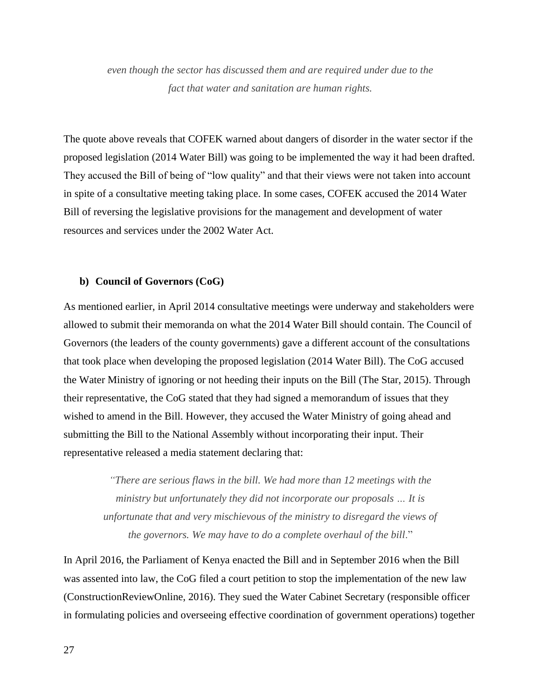*even though the sector has discussed them and are required under due to the fact that water and sanitation are human rights.*

The quote above reveals that COFEK warned about dangers of disorder in the water sector if the proposed legislation (2014 Water Bill) was going to be implemented the way it had been drafted. They accused the Bill of being of "low quality" and that their views were not taken into account in spite of a consultative meeting taking place. In some cases, COFEK accused the 2014 Water Bill of reversing the legislative provisions for the management and development of water resources and services under the 2002 Water Act.

#### **b) Council of Governors (CoG)**

As mentioned earlier, in April 2014 consultative meetings were underway and stakeholders were allowed to submit their memoranda on what the 2014 Water Bill should contain. The Council of Governors (the leaders of the county governments) gave a different account of the consultations that took place when developing the proposed legislation (2014 Water Bill). The CoG accused the Water Ministry of ignoring or not heeding their inputs on the Bill (The Star, 2015). Through their representative, the CoG stated that they had signed a memorandum of issues that they wished to amend in the Bill. However, they accused the Water Ministry of going ahead and submitting the Bill to the National Assembly without incorporating their input. Their representative released a media statement declaring that:

*"There are serious flaws in the bill. We had more than 12 meetings with the ministry but unfortunately they did not incorporate our proposals … It is unfortunate that and very mischievous of the ministry to disregard the views of the governors. We may have to do a complete overhaul of the bill*."

In April 2016, the Parliament of Kenya enacted the Bill and in September 2016 when the Bill was assented into law, the CoG filed a court petition to stop the implementation of the new law (ConstructionReviewOnline, 2016). They sued the Water Cabinet Secretary (responsible officer in formulating policies and overseeing effective coordination of government operations) together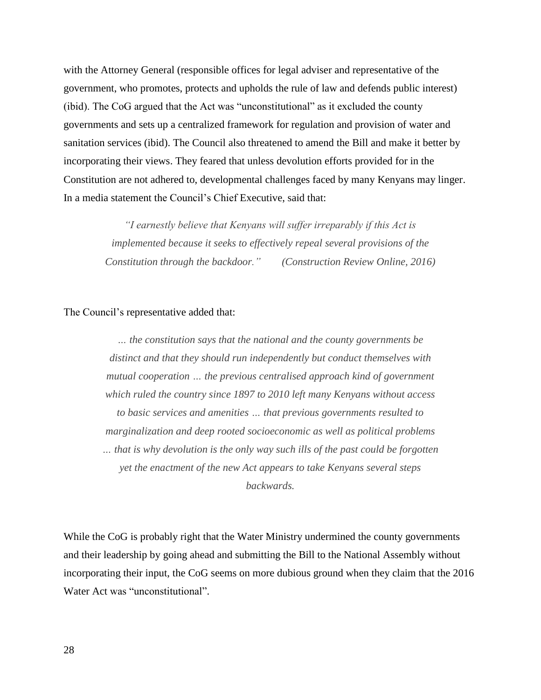with the Attorney General (responsible offices for legal adviser and representative of the government, who promotes, protects and upholds the rule of law and defends public interest) (ibid). The CoG argued that the Act was "unconstitutional" as it excluded the county governments and sets up a centralized framework for regulation and provision of water and sanitation services (ibid). The Council also threatened to amend the Bill and make it better by incorporating their views. They feared that unless devolution efforts provided for in the Constitution are not adhered to, developmental challenges faced by many Kenyans may linger. In a media statement the Council's Chief Executive, said that:

> *"I earnestly believe that Kenyans will suffer irreparably if this Act is implemented because it seeks to effectively repeal several provisions of the Constitution through the backdoor." (Construction Review Online, 2016)*

#### The Council's representative added that:

*… the constitution says that the national and the county governments be distinct and that they should run independently but conduct themselves with mutual cooperation … the previous centralised approach kind of government which ruled the country since 1897 to 2010 left many Kenyans without access to basic services and amenities … that previous governments resulted to marginalization and deep rooted socioeconomic as well as political problems … that is why devolution is the only way such ills of the past could be forgotten yet the enactment of the new Act appears to take Kenyans several steps backwards.* 

While the CoG is probably right that the Water Ministry undermined the county governments and their leadership by going ahead and submitting the Bill to the National Assembly without incorporating their input, the CoG seems on more dubious ground when they claim that the 2016 Water Act was "unconstitutional".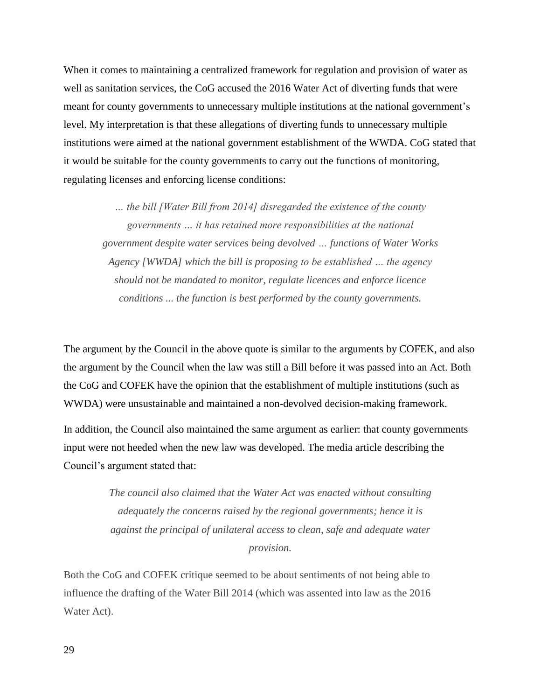When it comes to maintaining a centralized framework for regulation and provision of water as well as sanitation services, the CoG accused the 2016 Water Act of diverting funds that were meant for county governments to unnecessary multiple institutions at the national government's level. My interpretation is that these allegations of diverting funds to unnecessary multiple institutions were aimed at the national government establishment of the WWDA. CoG stated that it would be suitable for the county governments to carry out the functions of monitoring, regulating licenses and enforcing license conditions:

*… the bill [Water Bill from 2014] disregarded the existence of the county governments … it has retained more responsibilities at the national government despite water services being devolved … functions of Water Works Agency [WWDA] which the bill is proposing to be established … the agency should not be mandated to monitor, regulate licences and enforce licence conditions ... the function is best performed by the county governments.*

The argument by the Council in the above quote is similar to the arguments by COFEK, and also the argument by the Council when the law was still a Bill before it was passed into an Act. Both the CoG and COFEK have the opinion that the establishment of multiple institutions (such as WWDA) were unsustainable and maintained a non-devolved decision-making framework.

In addition, the Council also maintained the same argument as earlier: that county governments input were not heeded when the new law was developed. The media article describing the Council's argument stated that:

> *The council also claimed that the Water Act was enacted without consulting adequately the concerns raised by the regional governments; hence it is against the principal of unilateral access to clean, safe and adequate water provision.*

Both the CoG and COFEK critique seemed to be about sentiments of not being able to influence the drafting of the Water Bill 2014 (which was assented into law as the 2016 Water Act).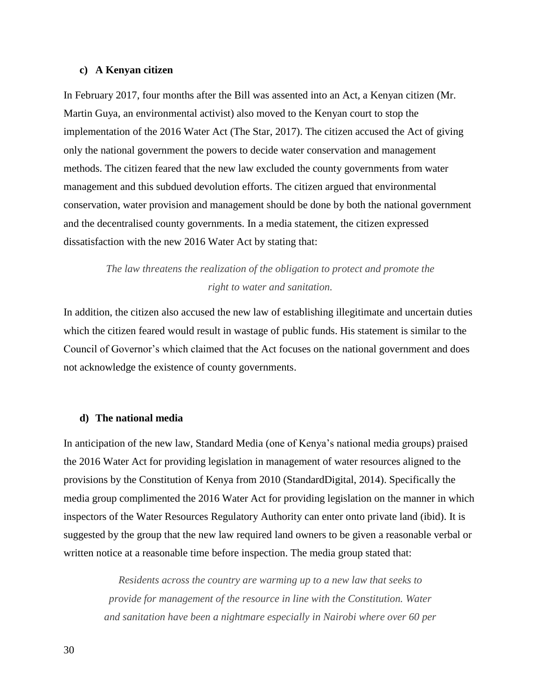#### **c) A Kenyan citizen**

In February 2017, four months after the Bill was assented into an Act, a Kenyan citizen (Mr. Martin Guya, an environmental activist) also moved to the Kenyan court to stop the implementation of the 2016 Water Act (The Star, 2017). The citizen accused the Act of giving only the national government the powers to decide water conservation and management methods. The citizen feared that the new law excluded the county governments from water management and this subdued devolution efforts. The citizen argued that environmental conservation, water provision and management should be done by both the national government and the decentralised county governments. In a media statement, the citizen expressed dissatisfaction with the new 2016 Water Act by stating that:

# *The law threatens the realization of the obligation to protect and promote the right to water and sanitation.*

In addition, the citizen also accused the new law of establishing illegitimate and uncertain duties which the citizen feared would result in wastage of public funds. His statement is similar to the Council of Governor's which claimed that the Act focuses on the national government and does not acknowledge the existence of county governments.

#### **d) The national media**

In anticipation of the new law, Standard Media (one of Kenya's national media groups) praised the 2016 Water Act for providing legislation in management of water resources aligned to the provisions by the Constitution of Kenya from 2010 (StandardDigital, 2014). Specifically the media group complimented the 2016 Water Act for providing legislation on the manner in which inspectors of the Water Resources Regulatory Authority can enter onto private land (ibid). It is suggested by the group that the new law required land owners to be given a reasonable verbal or written notice at a reasonable time before inspection. The media group stated that:

*Residents across the country are warming up to a new law that seeks to provide for management of the resource in line with the Constitution. Water and sanitation have been a nightmare especially in Nairobi where over 60 per*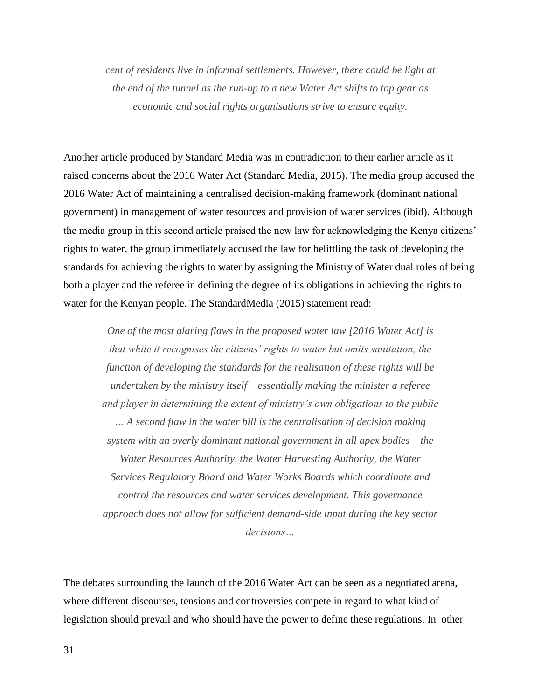*cent of residents live in informal settlements. However, there could be light at the end of the tunnel as the run-up to a new Water Act shifts to top gear as economic and social rights organisations strive to ensure equity.*

Another article produced by Standard Media was in contradiction to their earlier article as it raised concerns about the 2016 Water Act (Standard Media, 2015). The media group accused the 2016 Water Act of maintaining a centralised decision-making framework (dominant national government) in management of water resources and provision of water services (ibid). Although the media group in this second article praised the new law for acknowledging the Kenya citizens' rights to water, the group immediately accused the law for belittling the task of developing the standards for achieving the rights to water by assigning the Ministry of Water dual roles of being both a player and the referee in defining the degree of its obligations in achieving the rights to water for the Kenyan people. The StandardMedia (2015) statement read:

*One of the most glaring flaws in the proposed water law [2016 Water Act] is that while it recognises the citizens' rights to water but omits sanitation, the function of developing the standards for the realisation of these rights will be undertaken by the ministry itself – essentially making the minister a referee and player in determining the extent of ministry's own obligations to the public … A second flaw in the water bill is the centralisation of decision making system with an overly dominant national government in all apex bodies – the Water Resources Authority, the Water Harvesting Authority, the Water Services Regulatory Board and Water Works Boards which coordinate and control the resources and water services development. This governance approach does not allow for sufficient demand-side input during the key sector decisions…*

The debates surrounding the launch of the 2016 Water Act can be seen as a negotiated arena, where different discourses, tensions and controversies compete in regard to what kind of legislation should prevail and who should have the power to define these regulations. In other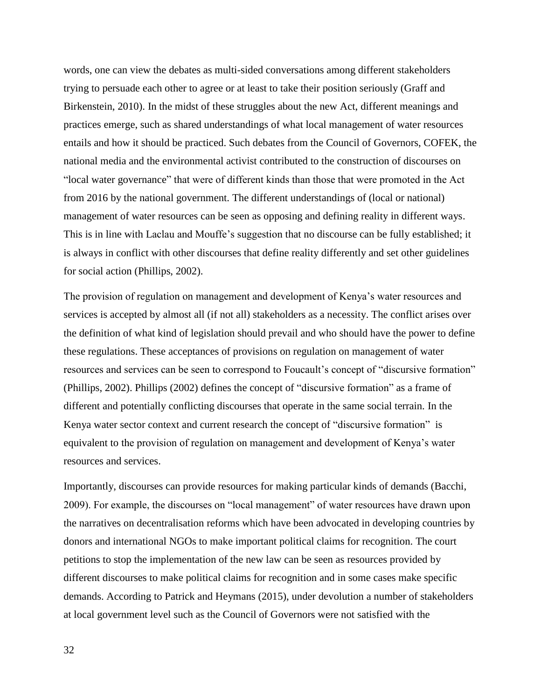words, one can view the debates as multi-sided conversations among different stakeholders trying to persuade each other to agree or at least to take their position seriously (Graff and Birkenstein, 2010). In the midst of these struggles about the new Act, different meanings and practices emerge, such as shared understandings of what local management of water resources entails and how it should be practiced. Such debates from the Council of Governors, COFEK, the national media and the environmental activist contributed to the construction of discourses on "local water governance" that were of different kinds than those that were promoted in the Act from 2016 by the national government. The different understandings of (local or national) management of water resources can be seen as opposing and defining reality in different ways. This is in line with Laclau and Mouffe's suggestion that no discourse can be fully established; it is always in conflict with other discourses that define reality differently and set other guidelines for social action (Phillips, 2002).

The provision of regulation on management and development of Kenya's water resources and services is accepted by almost all (if not all) stakeholders as a necessity. The conflict arises over the definition of what kind of legislation should prevail and who should have the power to define these regulations. These acceptances of provisions on regulation on management of water resources and services can be seen to correspond to Foucault's concept of "discursive formation" (Phillips, 2002). Phillips (2002) defines the concept of "discursive formation" as a frame of different and potentially conflicting discourses that operate in the same social terrain. In the Kenya water sector context and current research the concept of "discursive formation" is equivalent to the provision of regulation on management and development of Kenya's water resources and services.

Importantly, discourses can provide resources for making particular kinds of demands (Bacchi, 2009). For example, the discourses on "local management" of water resources have drawn upon the narratives on decentralisation reforms which have been advocated in developing countries by donors and international NGOs to make important political claims for recognition. The court petitions to stop the implementation of the new law can be seen as resources provided by different discourses to make political claims for recognition and in some cases make specific demands. According to Patrick and Heymans (2015), under devolution a number of stakeholders at local government level such as the Council of Governors were not satisfied with the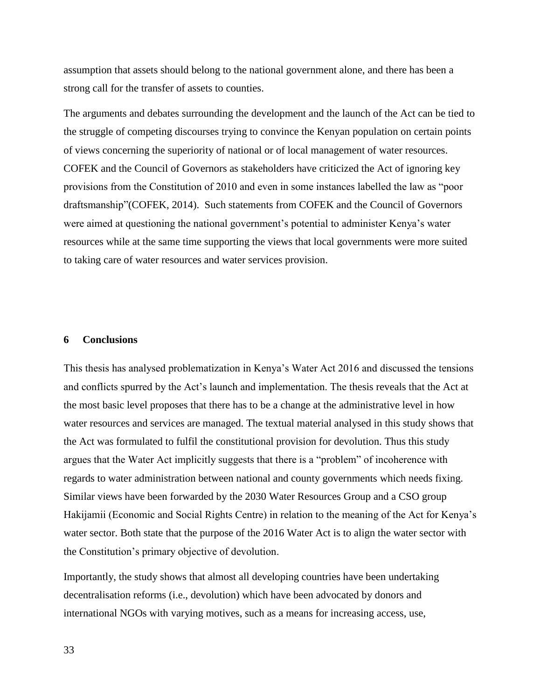assumption that assets should belong to the national government alone, and there has been a strong call for the transfer of assets to counties.

The arguments and debates surrounding the development and the launch of the Act can be tied to the struggle of competing discourses trying to convince the Kenyan population on certain points of views concerning the superiority of national or of local management of water resources. COFEK and the Council of Governors as stakeholders have criticized the Act of ignoring key provisions from the Constitution of 2010 and even in some instances labelled the law as "poor draftsmanship"(COFEK, 2014). Such statements from COFEK and the Council of Governors were aimed at questioning the national government's potential to administer Kenya's water resources while at the same time supporting the views that local governments were more suited to taking care of water resources and water services provision.

#### **6 Conclusions**

This thesis has analysed problematization in Kenya's Water Act 2016 and discussed the tensions and conflicts spurred by the Act's launch and implementation. The thesis reveals that the Act at the most basic level proposes that there has to be a change at the administrative level in how water resources and services are managed. The textual material analysed in this study shows that the Act was formulated to fulfil the constitutional provision for devolution. Thus this study argues that the Water Act implicitly suggests that there is a "problem" of incoherence with regards to water administration between national and county governments which needs fixing. Similar views have been forwarded by the 2030 Water Resources Group and a CSO group Hakijamii (Economic and Social Rights Centre) in relation to the meaning of the Act for Kenya's water sector. Both state that the purpose of the 2016 Water Act is to align the water sector with the Constitution's primary objective of devolution.

Importantly, the study shows that almost all developing countries have been undertaking decentralisation reforms (i.e., devolution) which have been advocated by donors and international NGOs with varying motives, such as a means for increasing access, use,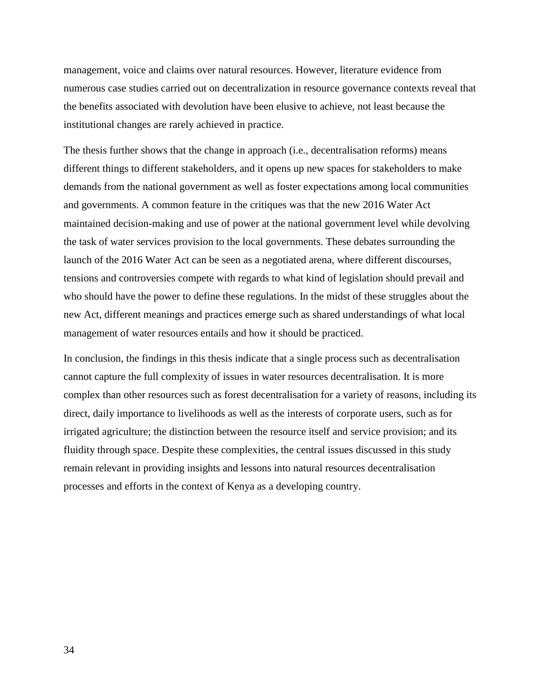management, voice and claims over natural resources. However, literature evidence from numerous case studies carried out on decentralization in resource governance contexts reveal that the benefits associated with devolution have been elusive to achieve, not least because the institutional changes are rarely achieved in practice.

The thesis further shows that the change in approach (i.e., decentralisation reforms) means different things to different stakeholders, and it opens up new spaces for stakeholders to make demands from the national government as well as foster expectations among local communities and governments. A common feature in the critiques was that the new 2016 Water Act maintained decision-making and use of power at the national government level while devolving the task of water services provision to the local governments. These debates surrounding the launch of the 2016 Water Act can be seen as a negotiated arena, where different discourses, tensions and controversies compete with regards to what kind of legislation should prevail and who should have the power to define these regulations. In the midst of these struggles about the new Act, different meanings and practices emerge such as shared understandings of what local management of water resources entails and how it should be practiced.

In conclusion, the findings in this thesis indicate that a single process such as decentralisation cannot capture the full complexity of issues in water resources decentralisation. It is more complex than other resources such as forest decentralisation for a variety of reasons, including its direct, daily importance to livelihoods as well as the interests of corporate users, such as for irrigated agriculture; the distinction between the resource itself and service provision; and its fluidity through space. Despite these complexities, the central issues discussed in this study remain relevant in providing insights and lessons into natural resources decentralisation processes and efforts in the context of Kenya as a developing country.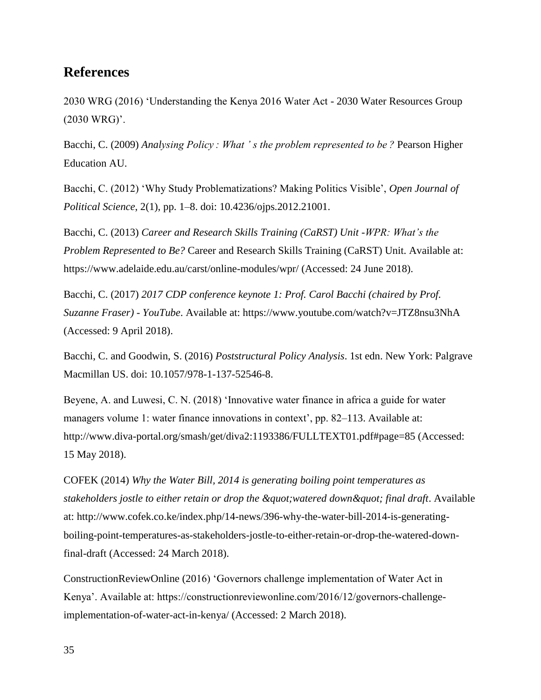# **References**

2030 WRG (2016) 'Understanding the Kenya 2016 Water Act - 2030 Water Resources Group (2030 WRG)'.

Bacchi, C. (2009) *Analysing Policy : What ' s the problem represented to be ?* Pearson Higher Education AU.

Bacchi, C. (2012) 'Why Study Problematizations? Making Politics Visible', *Open Journal of Political Science*, 2(1), pp. 1–8. doi: 10.4236/ojps.2012.21001.

Bacchi, C. (2013) *Career and Research Skills Training (CaRST) Unit -WPR: What's the Problem Represented to Be?* Career and Research Skills Training (CaRST) Unit. Available at: https://www.adelaide.edu.au/carst/online-modules/wpr/ (Accessed: 24 June 2018).

Bacchi, C. (2017) *2017 CDP conference keynote 1: Prof. Carol Bacchi (chaired by Prof. Suzanne Fraser) - YouTube*. Available at: https://www.youtube.com/watch?v=JTZ8nsu3NhA (Accessed: 9 April 2018).

Bacchi, C. and Goodwin, S. (2016) *Poststructural Policy Analysis*. 1st edn. New York: Palgrave Macmillan US. doi: 10.1057/978-1-137-52546-8.

Beyene, A. and Luwesi, C. N. (2018) 'Innovative water finance in africa a guide for water managers volume 1: water finance innovations in context', pp. 82–113. Available at: http://www.diva-portal.org/smash/get/diva2:1193386/FULLTEXT01.pdf#page=85 (Accessed: 15 May 2018).

COFEK (2014) *Why the Water Bill, 2014 is generating boiling point temperatures as*  stakeholders jostle to either retain or drop the " watered down " final draft. Available at: http://www.cofek.co.ke/index.php/14-news/396-why-the-water-bill-2014-is-generatingboiling-point-temperatures-as-stakeholders-jostle-to-either-retain-or-drop-the-watered-downfinal-draft (Accessed: 24 March 2018).

ConstructionReviewOnline (2016) 'Governors challenge implementation of Water Act in Kenya'. Available at: https://constructionreviewonline.com/2016/12/governors-challengeimplementation-of-water-act-in-kenya/ (Accessed: 2 March 2018).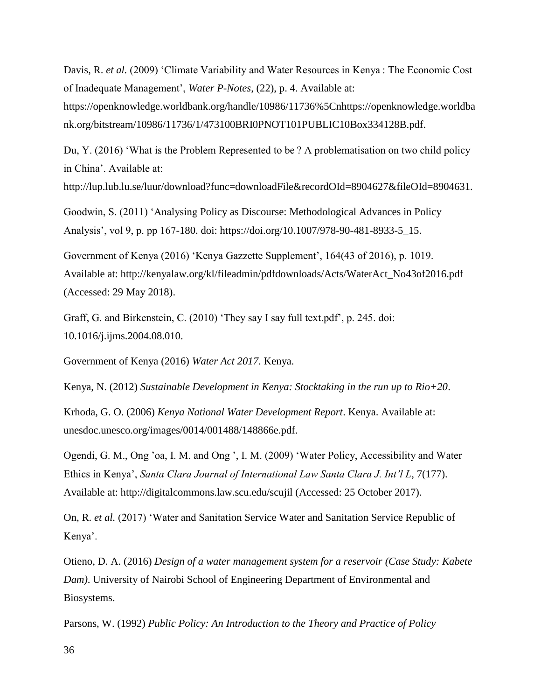Davis, R. *et al.* (2009) 'Climate Variability and Water Resources in Kenya : The Economic Cost of Inadequate Management', *Water P-Notes*, (22), p. 4. Available at:

https://openknowledge.worldbank.org/handle/10986/11736%5Cnhttps://openknowledge.worldba nk.org/bitstream/10986/11736/1/473100BRI0PNOT101PUBLIC10Box334128B.pdf.

Du, Y. (2016) 'What is the Problem Represented to be ? A problematisation on two child policy in China'. Available at:

http://lup.lub.lu.se/luur/download?func=downloadFile&recordOId=8904627&fileOId=8904631.

Goodwin, S. (2011) 'Analysing Policy as Discourse: Methodological Advances in Policy Analysis', vol 9, p. pp 167-180. doi: https://doi.org/10.1007/978-90-481-8933-5\_15.

Government of Kenya (2016) 'Kenya Gazzette Supplement', 164(43 of 2016), p. 1019. Available at: http://kenyalaw.org/kl/fileadmin/pdfdownloads/Acts/WaterAct\_No43of2016.pdf (Accessed: 29 May 2018).

Graff, G. and Birkenstein, C. (2010) 'They say I say full text.pdf', p. 245. doi: 10.1016/j.ijms.2004.08.010.

Government of Kenya (2016) *Water Act 2017*. Kenya.

Kenya, N. (2012) *Sustainable Development in Kenya: Stocktaking in the run up to Rio+20*.

Krhoda, G. O. (2006) *Kenya National Water Development Report*. Kenya. Available at: unesdoc.unesco.org/images/0014/001488/148866e.pdf.

Ogendi, G. M., Ong 'oa, I. M. and Ong ', I. M. (2009) 'Water Policy, Accessibility and Water Ethics in Kenya', *Santa Clara Journal of International Law Santa Clara J. Int'l L*, 7(177). Available at: http://digitalcommons.law.scu.edu/scujil (Accessed: 25 October 2017).

On, R. *et al.* (2017) 'Water and Sanitation Service Water and Sanitation Service Republic of Kenya'.

Otieno, D. A. (2016) *Design of a water management system for a reservoir (Case Study: Kabete Dam)*. University of Nairobi School of Engineering Department of Environmental and Biosystems.

Parsons, W. (1992) *Public Policy: An Introduction to the Theory and Practice of Policy*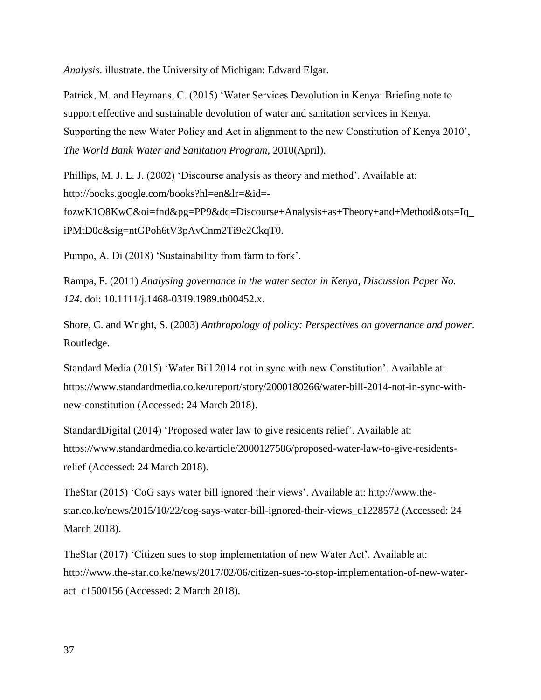*Analysis*. illustrate. the University of Michigan: Edward Elgar.

Patrick, M. and Heymans, C. (2015) 'Water Services Devolution in Kenya: Briefing note to support effective and sustainable devolution of water and sanitation services in Kenya. Supporting the new Water Policy and Act in alignment to the new Constitution of Kenya 2010', *The World Bank Water and Sanitation Program*, 2010(April).

Phillips, M. J. L. J. (2002) 'Discourse analysis as theory and method'. Available at: http://books.google.com/books?hl=en&lr=&id=-

fozwK1O8KwC&oi=fnd&pg=PP9&dq=Discourse+Analysis+as+Theory+and+Method&ots=Iq\_ iPMtD0c&sig=ntGPoh6tV3pAvCnm2Ti9e2CkqT0.

Pumpo, A. Di (2018) 'Sustainability from farm to fork'.

Rampa, F. (2011) *Analysing governance in the water sector in Kenya*, *Discussion Paper No. 124*. doi: 10.1111/j.1468-0319.1989.tb00452.x.

Shore, C. and Wright, S. (2003) *Anthropology of policy: Perspectives on governance and power*. Routledge.

Standard Media (2015) 'Water Bill 2014 not in sync with new Constitution'. Available at: https://www.standardmedia.co.ke/ureport/story/2000180266/water-bill-2014-not-in-sync-withnew-constitution (Accessed: 24 March 2018).

StandardDigital (2014) 'Proposed water law to give residents relief'. Available at: https://www.standardmedia.co.ke/article/2000127586/proposed-water-law-to-give-residentsrelief (Accessed: 24 March 2018).

TheStar (2015) 'CoG says water bill ignored their views'. Available at: http://www.thestar.co.ke/news/2015/10/22/cog-says-water-bill-ignored-their-views\_c1228572 (Accessed: 24 March 2018).

TheStar (2017) 'Citizen sues to stop implementation of new Water Act'. Available at: http://www.the-star.co.ke/news/2017/02/06/citizen-sues-to-stop-implementation-of-new-wateract\_c1500156 (Accessed: 2 March 2018).